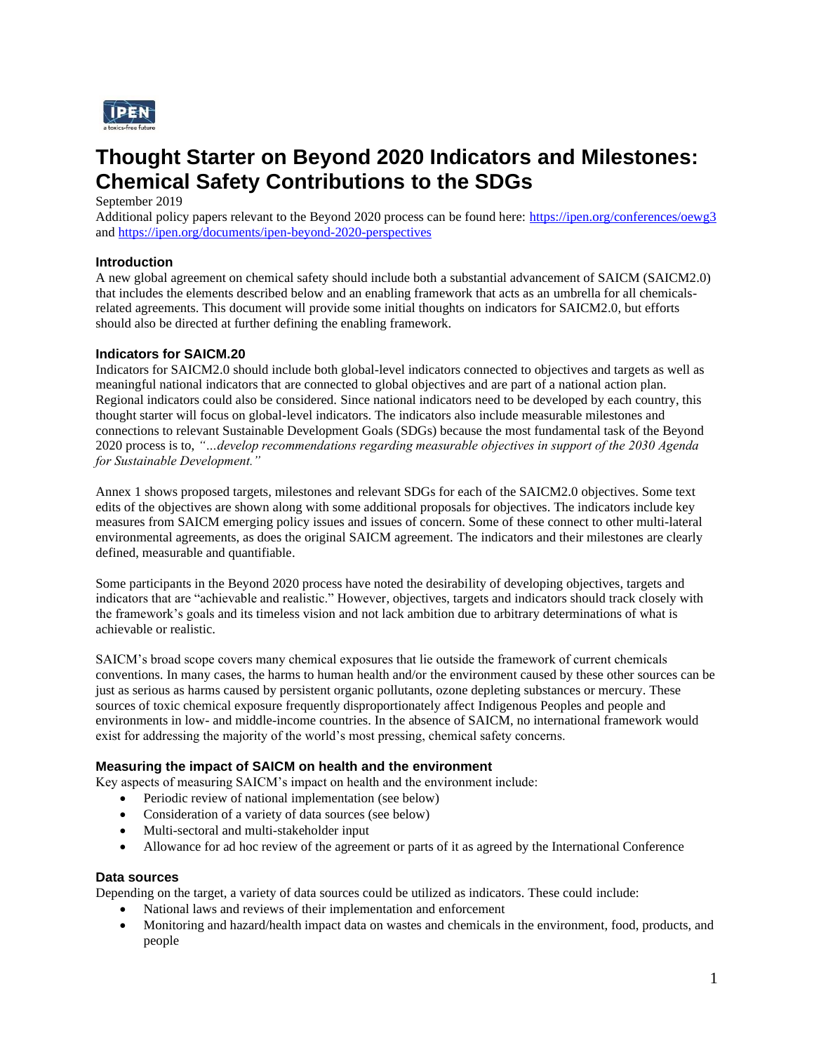

# **Thought Starter on Beyond 2020 Indicators and Milestones: Chemical Safety Contributions to the SDGs**

September 2019

Additional policy papers relevant to the Beyond 2020 process can be found here: <https://ipen.org/conferences/oewg3> and<https://ipen.org/documents/ipen-beyond-2020-perspectives>

### **Introduction**

A new global agreement on chemical safety should include both a substantial advancement of SAICM (SAICM2.0) that includes the elements described below and an enabling framework that acts as an umbrella for all chemicalsrelated agreements. This document will provide some initial thoughts on indicators for SAICM2.0, but efforts should also be directed at further defining the enabling framework.

#### **Indicators for SAICM.20**

Indicators for SAICM2.0 should include both global-level indicators connected to objectives and targets as well as meaningful national indicators that are connected to global objectives and are part of a national action plan. Regional indicators could also be considered. Since national indicators need to be developed by each country, this thought starter will focus on global-level indicators. The indicators also include measurable milestones and connections to relevant Sustainable Development Goals (SDGs) because the most fundamental task of the Beyond 2020 process is to, *"…develop recommendations regarding measurable objectives in support of the 2030 Agenda for Sustainable Development."*

Annex 1 shows proposed targets, milestones and relevant SDGs for each of the SAICM2.0 objectives. Some text edits of the objectives are shown along with some additional proposals for objectives. The indicators include key measures from SAICM emerging policy issues and issues of concern. Some of these connect to other multi-lateral environmental agreements, as does the original SAICM agreement. The indicators and their milestones are clearly defined, measurable and quantifiable.

Some participants in the Beyond 2020 process have noted the desirability of developing objectives, targets and indicators that are "achievable and realistic." However, objectives, targets and indicators should track closely with the framework's goals and its timeless vision and not lack ambition due to arbitrary determinations of what is achievable or realistic.

SAICM's broad scope covers many chemical exposures that lie outside the framework of current chemicals conventions. In many cases, the harms to human health and/or the environment caused by these other sources can be just as serious as harms caused by persistent organic pollutants, ozone depleting substances or mercury. These sources of toxic chemical exposure frequently disproportionately affect Indigenous Peoples and people and environments in low- and middle-income countries. In the absence of SAICM, no international framework would exist for addressing the majority of the world's most pressing, chemical safety concerns.

#### **Measuring the impact of SAICM on health and the environment**

Key aspects of measuring SAICM's impact on health and the environment include:

- Periodic review of national implementation (see below)
- Consideration of a variety of data sources (see below)
- Multi-sectoral and multi-stakeholder input
- Allowance for ad hoc review of the agreement or parts of it as agreed by the International Conference

# **Data sources**

Depending on the target, a variety of data sources could be utilized as indicators. These could include:

- National laws and reviews of their implementation and enforcement
- Monitoring and hazard/health impact data on wastes and chemicals in the environment, food, products, and people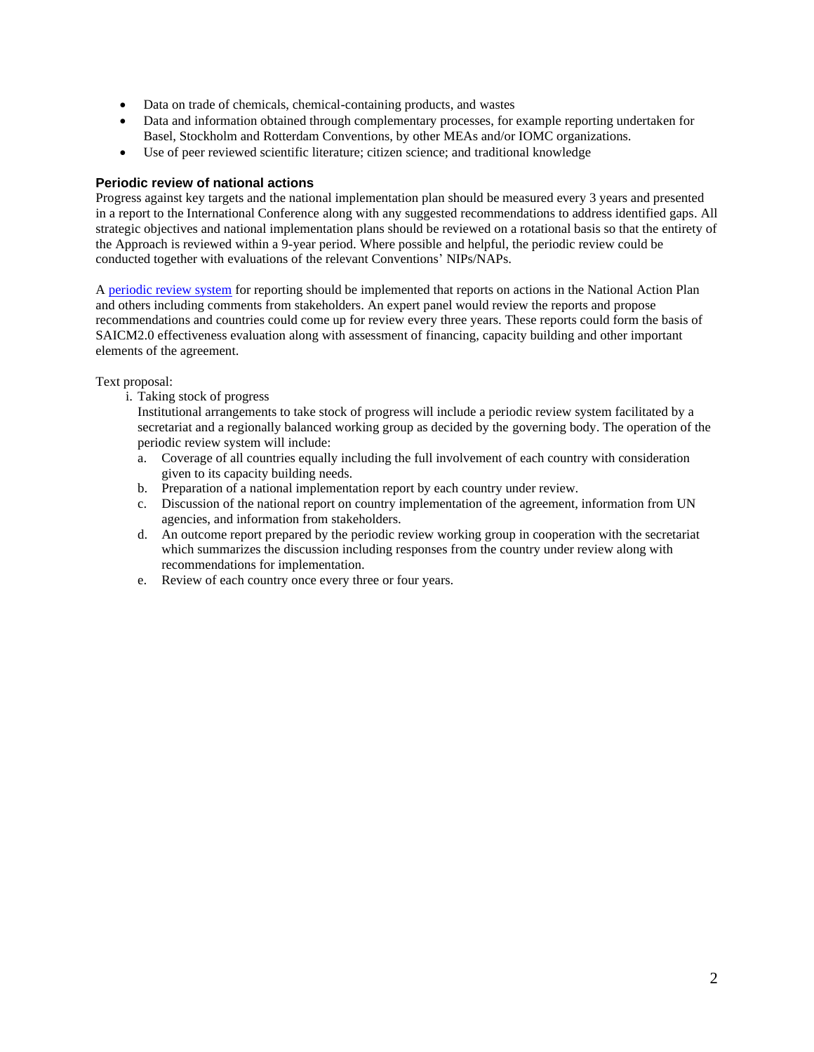- Data on trade of chemicals, chemical-containing products, and wastes
- Data and information obtained through complementary processes, for example reporting undertaken for Basel, Stockholm and Rotterdam Conventions, by other MEAs and/or IOMC organizations.
- Use of peer reviewed scientific literature; citizen science; and traditional knowledge

#### **Periodic review of national actions**

Progress against key targets and the national implementation plan should be measured every 3 years and presented in a report to the International Conference along with any suggested recommendations to address identified gaps. All strategic objectives and national implementation plans should be reviewed on a rotational basis so that the entirety of the Approach is reviewed within a 9-year period. Where possible and helpful, the periodic review could be conducted together with evaluations of the relevant Conventions' NIPs/NAPs.

[A periodic review system](https://www.ohchr.org/EN/HRBodies/UPR/Pages/BasicFacts.aspx) for reporting should be implemented that reports on actions in the National Action Plan and others including comments from stakeholders. An expert panel would review the reports and propose recommendations and countries could come up for review every three years. These reports could form the basis of SAICM2.0 effectiveness evaluation along with assessment of financing, capacity building and other important elements of the agreement.

Text proposal:

i. Taking stock of progress

Institutional arrangements to take stock of progress will include a periodic review system facilitated by a secretariat and a regionally balanced working group as decided by the governing body. The operation of the periodic review system will include:

- a. Coverage of all countries equally including the full involvement of each country with consideration given to its capacity building needs.
- b. Preparation of a national implementation report by each country under review.
- c. Discussion of the national report on country implementation of the agreement, information from UN agencies, and information from stakeholders.
- d. An outcome report prepared by the periodic review working group in cooperation with the secretariat which summarizes the discussion including responses from the country under review along with recommendations for implementation.
- e. Review of each country once every three or four years.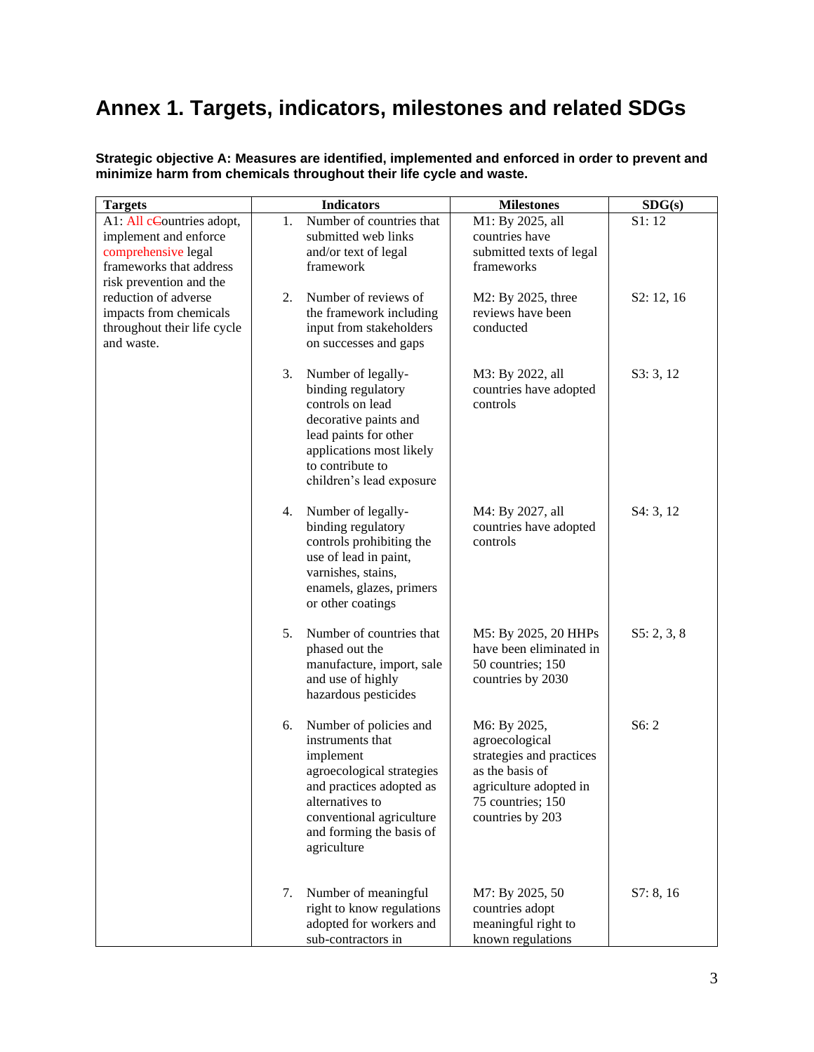# **Annex 1. Targets, indicators, milestones and related SDGs**

| <b>Targets</b>                                                                                                                  |    | <b>Indicators</b>                                                                                                                                                                                          | <b>Milestones</b>                                                                                                                                | SDG(s)      |
|---------------------------------------------------------------------------------------------------------------------------------|----|------------------------------------------------------------------------------------------------------------------------------------------------------------------------------------------------------------|--------------------------------------------------------------------------------------------------------------------------------------------------|-------------|
| A1: All cCountries adopt,<br>implement and enforce<br>comprehensive legal<br>frameworks that address<br>risk prevention and the | 1. | Number of countries that<br>submitted web links<br>and/or text of legal<br>framework                                                                                                                       | M1: By 2025, all<br>countries have<br>submitted texts of legal<br>frameworks                                                                     | S1:12       |
| reduction of adverse<br>impacts from chemicals<br>throughout their life cycle<br>and waste.                                     | 2. | Number of reviews of<br>the framework including<br>input from stakeholders<br>on successes and gaps                                                                                                        | M2: By 2025, three<br>reviews have been<br>conducted                                                                                             | S2: 12, 16  |
|                                                                                                                                 | 3. | Number of legally-<br>binding regulatory<br>controls on lead<br>decorative paints and<br>lead paints for other<br>applications most likely<br>to contribute to<br>children's lead exposure                 | M3: By 2022, all<br>countries have adopted<br>controls                                                                                           | S3:3,12     |
|                                                                                                                                 | 4. | Number of legally-<br>binding regulatory<br>controls prohibiting the<br>use of lead in paint,<br>varnishes, stains,<br>enamels, glazes, primers<br>or other coatings                                       | M4: By 2027, all<br>countries have adopted<br>controls                                                                                           | S4: 3, 12   |
|                                                                                                                                 | 5. | Number of countries that<br>phased out the<br>manufacture, import, sale<br>and use of highly<br>hazardous pesticides                                                                                       | M5: By 2025, 20 HHPs<br>have been eliminated in<br>50 countries; 150<br>countries by 2030                                                        | S5: 2, 3, 8 |
|                                                                                                                                 | 6. | Number of policies and<br>instruments that<br>implement<br>agroecological strategies<br>and practices adopted as<br>alternatives to<br>conventional agriculture<br>and forming the basis of<br>agriculture | M6: By 2025,<br>agroecological<br>strategies and practices<br>as the basis of<br>agriculture adopted in<br>75 countries; 150<br>countries by 203 | S6:2        |
|                                                                                                                                 | 7. | Number of meaningful<br>right to know regulations<br>adopted for workers and<br>sub-contractors in                                                                                                         | M7: By 2025, 50<br>countries adopt<br>meaningful right to<br>known regulations                                                                   | S7: 8, 16   |

**Strategic objective A: Measures are identified, implemented and enforced in order to prevent and minimize harm from chemicals throughout their life cycle and waste.**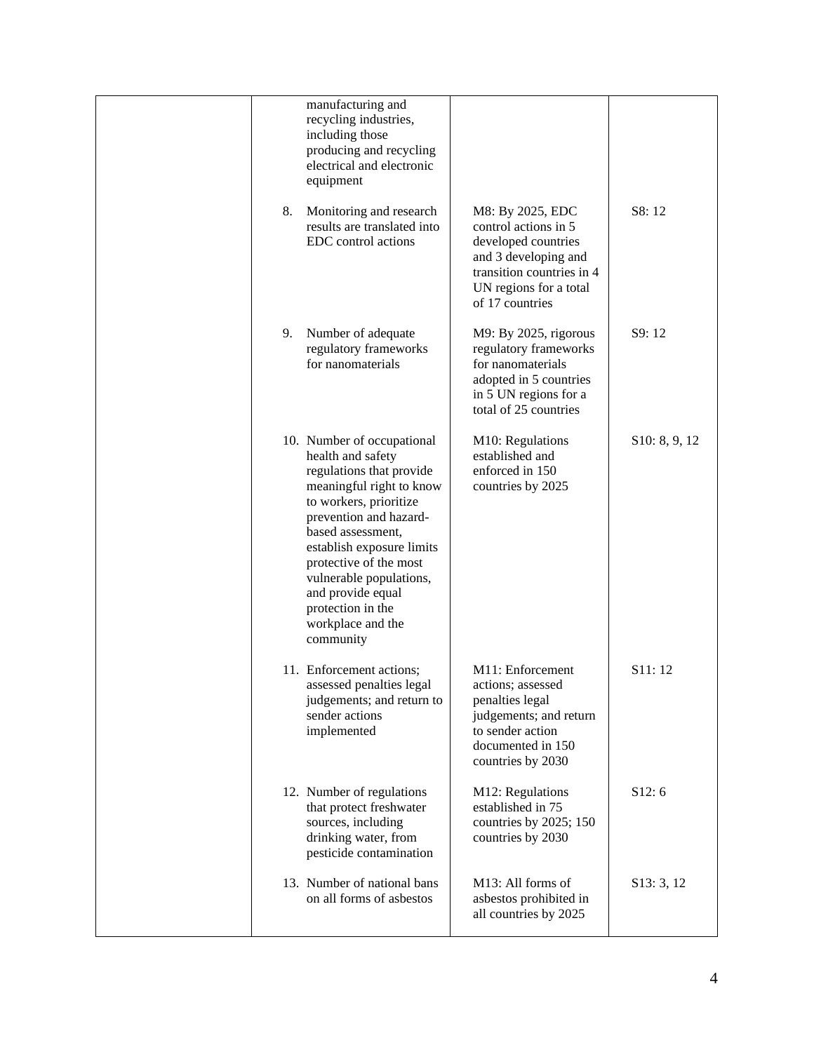|    | manufacturing and<br>recycling industries,<br>including those<br>producing and recycling<br>electrical and electronic<br>equipment                                                                                                                                                                                                             |                                                                                                                                                                   |               |
|----|------------------------------------------------------------------------------------------------------------------------------------------------------------------------------------------------------------------------------------------------------------------------------------------------------------------------------------------------|-------------------------------------------------------------------------------------------------------------------------------------------------------------------|---------------|
| 8. | Monitoring and research<br>results are translated into<br>EDC control actions                                                                                                                                                                                                                                                                  | M8: By 2025, EDC<br>control actions in 5<br>developed countries<br>and 3 developing and<br>transition countries in 4<br>UN regions for a total<br>of 17 countries | S8:12         |
| 9. | Number of adequate<br>regulatory frameworks<br>for nanomaterials                                                                                                                                                                                                                                                                               | M9: By 2025, rigorous<br>regulatory frameworks<br>for nanomaterials<br>adopted in 5 countries<br>in 5 UN regions for a<br>total of 25 countries                   | S9:12         |
|    | 10. Number of occupational<br>health and safety<br>regulations that provide<br>meaningful right to know<br>to workers, prioritize<br>prevention and hazard-<br>based assessment,<br>establish exposure limits<br>protective of the most<br>vulnerable populations,<br>and provide equal<br>protection in the<br>workplace and the<br>community | M10: Regulations<br>established and<br>enforced in 150<br>countries by 2025                                                                                       | S10: 8, 9, 12 |
|    | 11. Enforcement actions;<br>assessed penalties legal<br>judgements; and return to<br>sender actions<br>implemented                                                                                                                                                                                                                             | M11: Enforcement<br>actions; assessed<br>penalties legal<br>judgements; and return<br>to sender action<br>documented in 150<br>countries by 2030                  | S11:12        |
|    | 12. Number of regulations<br>that protect freshwater<br>sources, including<br>drinking water, from<br>pesticide contamination                                                                                                                                                                                                                  | M12: Regulations<br>established in 75<br>countries by 2025; 150<br>countries by 2030                                                                              | S12:6         |
|    | 13. Number of national bans<br>on all forms of asbestos                                                                                                                                                                                                                                                                                        | M13: All forms of<br>asbestos prohibited in<br>all countries by 2025                                                                                              | S13: 3, 12    |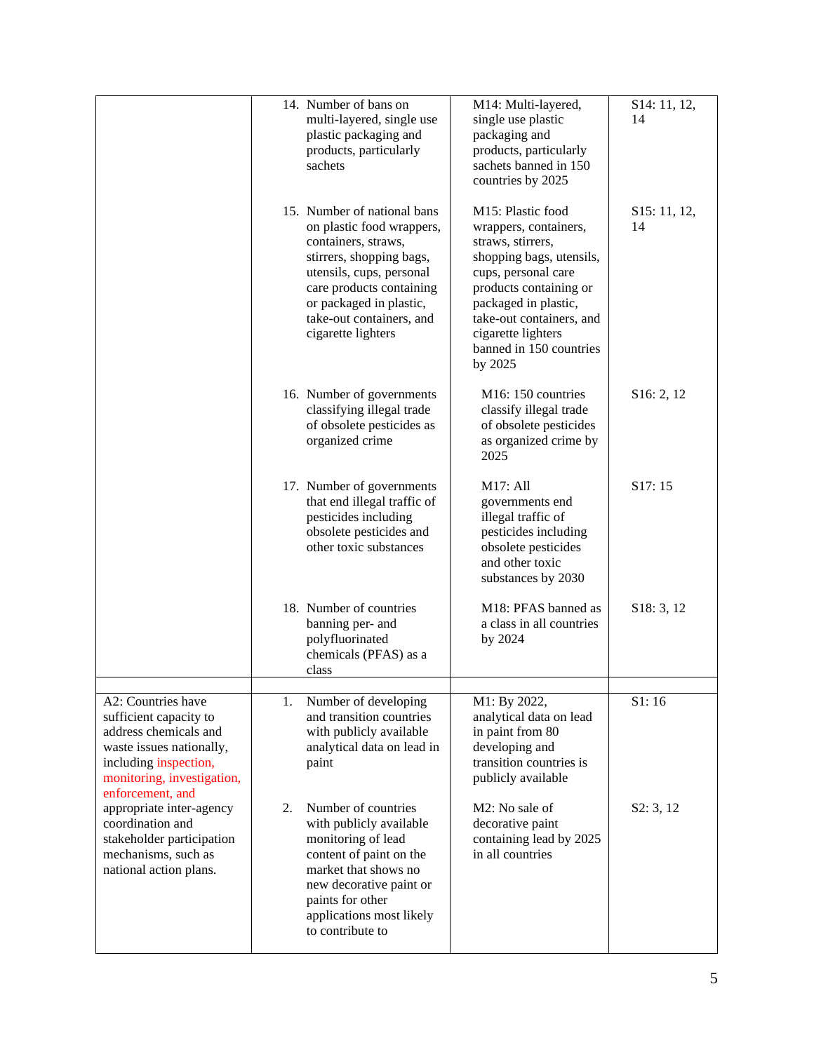|                                                                                                                                                                              | 14. Number of bans on<br>multi-layered, single use<br>plastic packaging and<br>products, particularly<br>sachets                                                                                                                                 | M14: Multi-layered,<br>single use plastic<br>packaging and<br>products, particularly<br>sachets banned in 150<br>countries by 2025                                                                                                                           | S14: 11, 12,<br>14 |
|------------------------------------------------------------------------------------------------------------------------------------------------------------------------------|--------------------------------------------------------------------------------------------------------------------------------------------------------------------------------------------------------------------------------------------------|--------------------------------------------------------------------------------------------------------------------------------------------------------------------------------------------------------------------------------------------------------------|--------------------|
|                                                                                                                                                                              | 15. Number of national bans<br>on plastic food wrappers,<br>containers, straws,<br>stirrers, shopping bags,<br>utensils, cups, personal<br>care products containing<br>or packaged in plastic,<br>take-out containers, and<br>cigarette lighters | M15: Plastic food<br>wrappers, containers,<br>straws, stirrers,<br>shopping bags, utensils,<br>cups, personal care<br>products containing or<br>packaged in plastic,<br>take-out containers, and<br>cigarette lighters<br>banned in 150 countries<br>by 2025 | S15: 11, 12,<br>14 |
|                                                                                                                                                                              | 16. Number of governments<br>classifying illegal trade<br>of obsolete pesticides as<br>organized crime                                                                                                                                           | M16: 150 countries<br>classify illegal trade<br>of obsolete pesticides<br>as organized crime by<br>2025                                                                                                                                                      | S16: 2, 12         |
|                                                                                                                                                                              | 17. Number of governments<br>that end illegal traffic of<br>pesticides including<br>obsolete pesticides and<br>other toxic substances                                                                                                            | M17: All<br>governments end<br>illegal traffic of<br>pesticides including<br>obsolete pesticides<br>and other toxic<br>substances by 2030                                                                                                                    | S17:15             |
|                                                                                                                                                                              | 18. Number of countries<br>banning per- and<br>polyfluorinated<br>chemicals (PFAS) as a<br>class                                                                                                                                                 | M18: PFAS banned as<br>a class in all countries<br>by 2024                                                                                                                                                                                                   | S18: 3, 12         |
| A2: Countries have<br>sufficient capacity to<br>address chemicals and<br>waste issues nationally,<br>including inspection,<br>monitoring, investigation,<br>enforcement, and | Number of developing<br>1.<br>and transition countries<br>with publicly available<br>analytical data on lead in<br>paint                                                                                                                         | M1: By 2022,<br>analytical data on lead<br>in paint from 80<br>developing and<br>transition countries is<br>publicly available                                                                                                                               | S1:16              |
| appropriate inter-agency<br>coordination and<br>stakeholder participation<br>mechanisms, such as<br>national action plans.                                                   | Number of countries<br>2.<br>with publicly available<br>monitoring of lead<br>content of paint on the<br>market that shows no<br>new decorative paint or<br>paints for other<br>applications most likely<br>to contribute to                     | M2: No sale of<br>decorative paint<br>containing lead by 2025<br>in all countries                                                                                                                                                                            | S2: 3, 12          |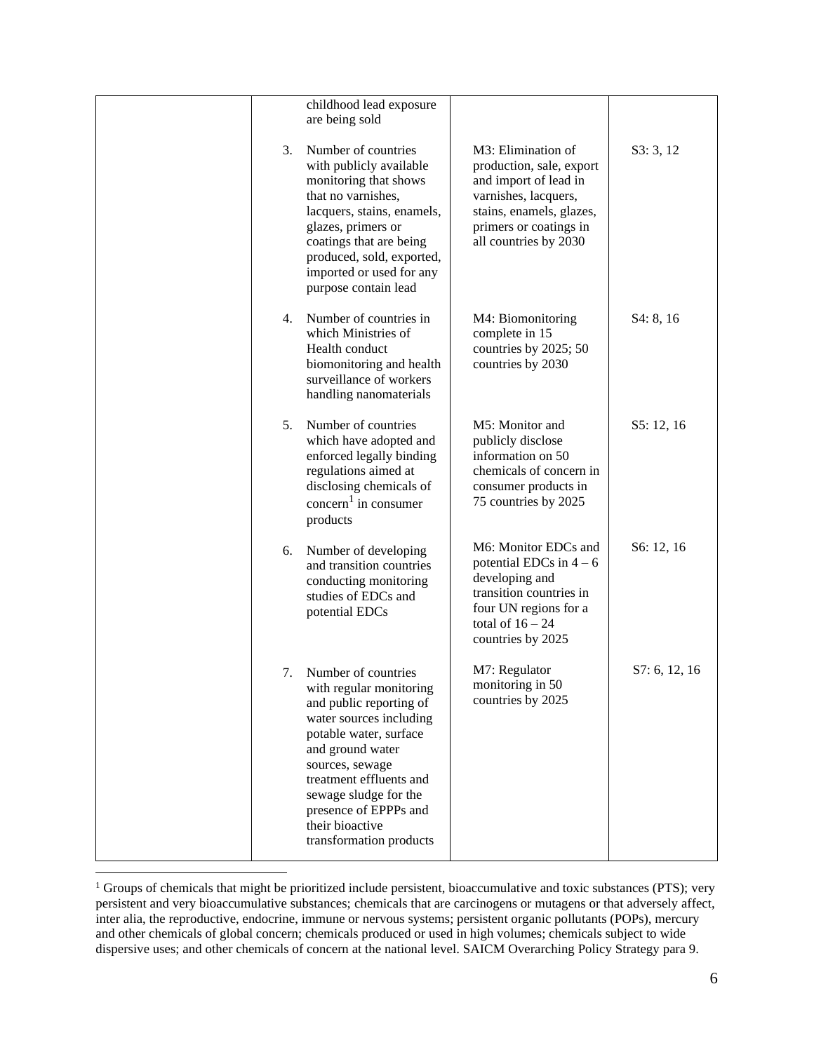|    | childhood lead exposure<br>are being sold                                                                                                                                                                                                                                                        |                                                                                                                                                                                |               |
|----|--------------------------------------------------------------------------------------------------------------------------------------------------------------------------------------------------------------------------------------------------------------------------------------------------|--------------------------------------------------------------------------------------------------------------------------------------------------------------------------------|---------------|
| 3. | Number of countries<br>with publicly available<br>monitoring that shows<br>that no varnishes,<br>lacquers, stains, enamels,<br>glazes, primers or<br>coatings that are being<br>produced, sold, exported,<br>imported or used for any<br>purpose contain lead                                    | M3: Elimination of<br>production, sale, export<br>and import of lead in<br>varnishes, lacquers,<br>stains, enamels, glazes,<br>primers or coatings in<br>all countries by 2030 | S3:3,12       |
| 4. | Number of countries in<br>which Ministries of<br>Health conduct<br>biomonitoring and health<br>surveillance of workers<br>handling nanomaterials                                                                                                                                                 | M4: Biomonitoring<br>complete in 15<br>countries by 2025; 50<br>countries by 2030                                                                                              | S4: 8, 16     |
| 5. | Number of countries<br>which have adopted and<br>enforced legally binding<br>regulations aimed at<br>disclosing chemicals of<br>$\mathrm{concern}^1$ in consumer<br>products                                                                                                                     | M5: Monitor and<br>publicly disclose<br>information on 50<br>chemicals of concern in<br>consumer products in<br>75 countries by 2025                                           | S5: 12, 16    |
| 6. | Number of developing<br>and transition countries<br>conducting monitoring<br>studies of EDCs and<br>potential EDCs                                                                                                                                                                               | M6: Monitor EDCs and<br>potential EDCs in $4-6$<br>developing and<br>transition countries in<br>four UN regions for a<br>total of $16 - 24$<br>countries by 2025               | S6: 12, 16    |
| 7. | Number of countries<br>with regular monitoring<br>and public reporting of<br>water sources including<br>potable water, surface<br>and ground water<br>sources, sewage<br>treatment effluents and<br>sewage sludge for the<br>presence of EPPPs and<br>their bioactive<br>transformation products | M7: Regulator<br>monitoring in 50<br>countries by 2025                                                                                                                         | S7: 6, 12, 16 |

<sup>&</sup>lt;sup>1</sup> Groups of chemicals that might be prioritized include persistent, bioaccumulative and toxic substances (PTS); very persistent and very bioaccumulative substances; chemicals that are carcinogens or mutagens or that adversely affect, inter alia, the reproductive, endocrine, immune or nervous systems; persistent organic pollutants (POPs), mercury and other chemicals of global concern; chemicals produced or used in high volumes; chemicals subject to wide dispersive uses; and other chemicals of concern at the national level. SAICM Overarching Policy Strategy para 9.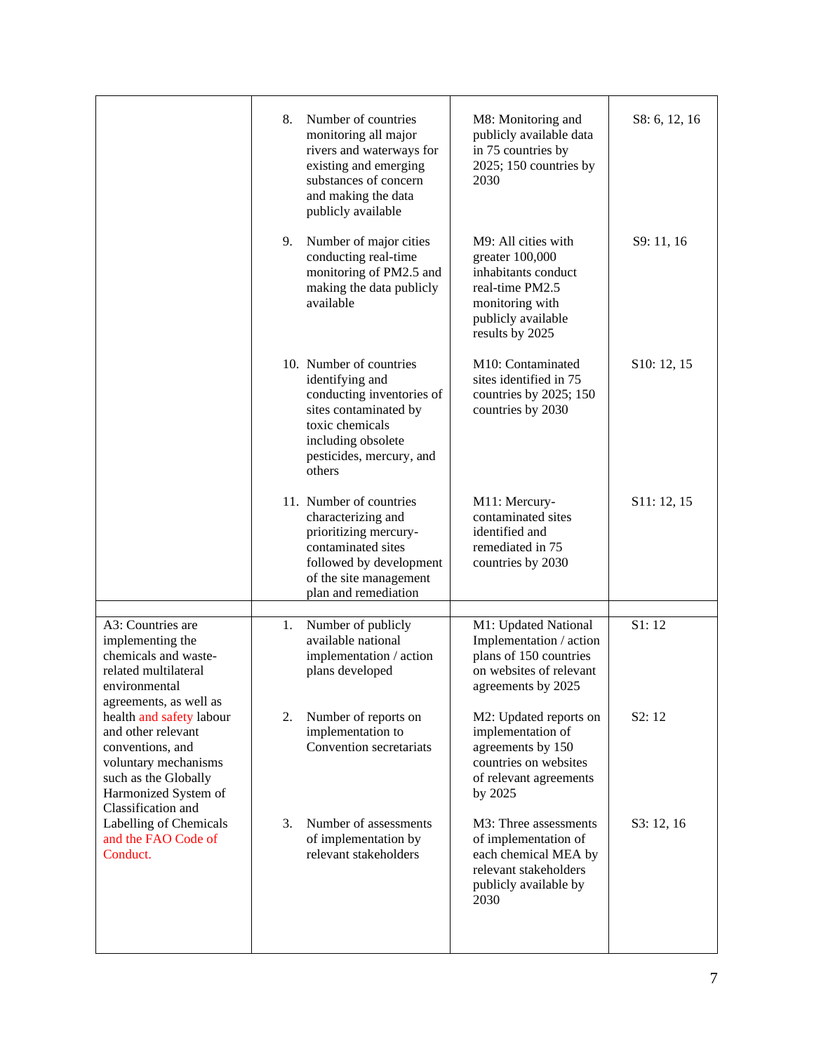|                                                                                                                                                                  | Number of countries<br>8.<br>monitoring all major<br>rivers and waterways for<br>existing and emerging<br>substances of concern<br>and making the data<br>publicly available    | M8: Monitoring and<br>publicly available data<br>in 75 countries by<br>2025; 150 countries by<br>2030                                        | S8: 6, 12, 16 |
|------------------------------------------------------------------------------------------------------------------------------------------------------------------|---------------------------------------------------------------------------------------------------------------------------------------------------------------------------------|----------------------------------------------------------------------------------------------------------------------------------------------|---------------|
|                                                                                                                                                                  | 9. Number of major cities<br>conducting real-time<br>monitoring of PM2.5 and<br>making the data publicly<br>available                                                           | M9: All cities with<br>greater 100,000<br>inhabitants conduct<br>real-time PM2.5<br>monitoring with<br>publicly available<br>results by 2025 | S9: 11, 16    |
|                                                                                                                                                                  | 10. Number of countries<br>identifying and<br>conducting inventories of<br>sites contaminated by<br>toxic chemicals<br>including obsolete<br>pesticides, mercury, and<br>others | M10: Contaminated<br>sites identified in 75<br>countries by 2025; 150<br>countries by 2030                                                   | S10: 12, 15   |
|                                                                                                                                                                  | 11. Number of countries<br>characterizing and<br>prioritizing mercury-<br>contaminated sites<br>followed by development<br>of the site management<br>plan and remediation       | M11: Mercury-<br>contaminated sites<br>identified and<br>remediated in 75<br>countries by 2030                                               | S11: 12, 15   |
| A3: Countries are<br>implementing the<br>chemicals and waste-<br>related multilateral<br>environmental<br>agreements, as well as                                 | Number of publicly<br>1.<br>available national<br>implementation / action<br>plans developed                                                                                    | M1: Updated National<br>Implementation / action<br>plans of 150 countries<br>on websites of relevant<br>agreements by 2025                   | S1:12         |
| health and safety labour<br>and other relevant<br>conventions, and<br>voluntary mechanisms<br>such as the Globally<br>Harmonized System of<br>Classification and | Number of reports on<br>2.<br>implementation to<br>Convention secretariats                                                                                                      | M2: Updated reports on<br>implementation of<br>agreements by 150<br>countries on websites<br>of relevant agreements<br>by 2025               | S2:12         |
| Labelling of Chemicals<br>and the FAO Code of<br>Conduct.                                                                                                        | 3.<br>Number of assessments<br>of implementation by<br>relevant stakeholders                                                                                                    | M3: Three assessments<br>of implementation of<br>each chemical MEA by<br>relevant stakeholders<br>publicly available by<br>2030              | S3: 12, 16    |
|                                                                                                                                                                  |                                                                                                                                                                                 |                                                                                                                                              |               |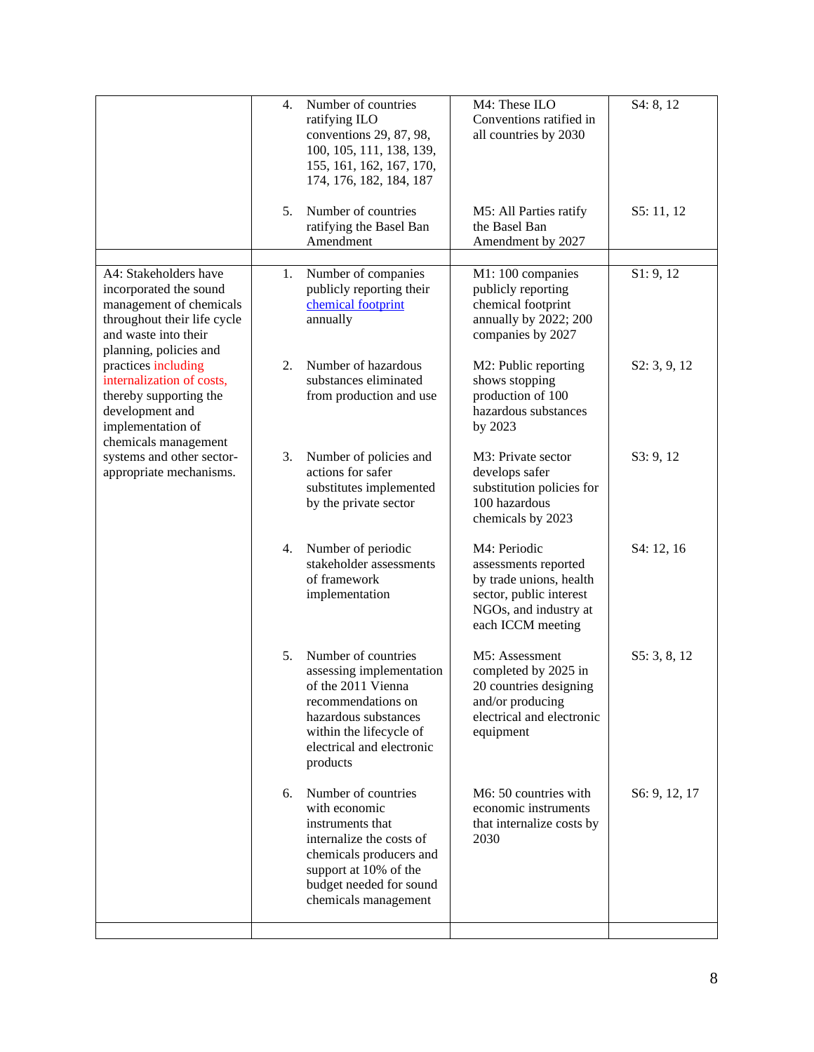|                                                                                                                                                             | $\overline{4}$ . | Number of countries<br>ratifying ILO<br>conventions 29, 87, 98,<br>100, 105, 111, 138, 139,<br>155, 161, 162, 167, 170,<br>174, 176, 182, 184, 187                                          | M4: These ILO<br>Conventions ratified in<br>all countries by 2030                                                                        | S4: 8, 12     |
|-------------------------------------------------------------------------------------------------------------------------------------------------------------|------------------|---------------------------------------------------------------------------------------------------------------------------------------------------------------------------------------------|------------------------------------------------------------------------------------------------------------------------------------------|---------------|
|                                                                                                                                                             | 5.               | Number of countries<br>ratifying the Basel Ban<br>Amendment                                                                                                                                 | M5: All Parties ratify<br>the Basel Ban<br>Amendment by 2027                                                                             | S5: 11, 12    |
| A4: Stakeholders have<br>incorporated the sound<br>management of chemicals<br>throughout their life cycle<br>and waste into their<br>planning, policies and | 1.               | Number of companies<br>publicly reporting their<br>chemical footprint<br>annually                                                                                                           | M1: 100 companies<br>publicly reporting<br>chemical footprint<br>annually by 2022; 200<br>companies by 2027                              | S1: 9, 12     |
| practices including<br>internalization of costs,<br>thereby supporting the<br>development and<br>implementation of<br>chemicals management                  | 2.               | Number of hazardous<br>substances eliminated<br>from production and use                                                                                                                     | M2: Public reporting<br>shows stopping<br>production of 100<br>hazardous substances<br>by 2023                                           | S2: 3, 9, 12  |
| systems and other sector-<br>appropriate mechanisms.                                                                                                        | 3.               | Number of policies and<br>actions for safer<br>substitutes implemented<br>by the private sector                                                                                             | M3: Private sector<br>develops safer<br>substitution policies for<br>100 hazardous<br>chemicals by 2023                                  | S3: 9, 12     |
|                                                                                                                                                             | 4.               | Number of periodic<br>stakeholder assessments<br>of framework<br>implementation                                                                                                             | M4: Periodic<br>assessments reported<br>by trade unions, health<br>sector, public interest<br>NGOs, and industry at<br>each ICCM meeting | S4: 12, 16    |
|                                                                                                                                                             | 5.               | Number of countries<br>assessing implementation<br>of the 2011 Vienna<br>recommendations on<br>hazardous substances<br>within the lifecycle of<br>electrical and electronic<br>products     | M5: Assessment<br>completed by 2025 in<br>20 countries designing<br>and/or producing<br>electrical and electronic<br>equipment           | S5: 3, 8, 12  |
|                                                                                                                                                             | 6.               | Number of countries<br>with economic<br>instruments that<br>internalize the costs of<br>chemicals producers and<br>support at 10% of the<br>budget needed for sound<br>chemicals management | M6: 50 countries with<br>economic instruments<br>that internalize costs by<br>2030                                                       | S6: 9, 12, 17 |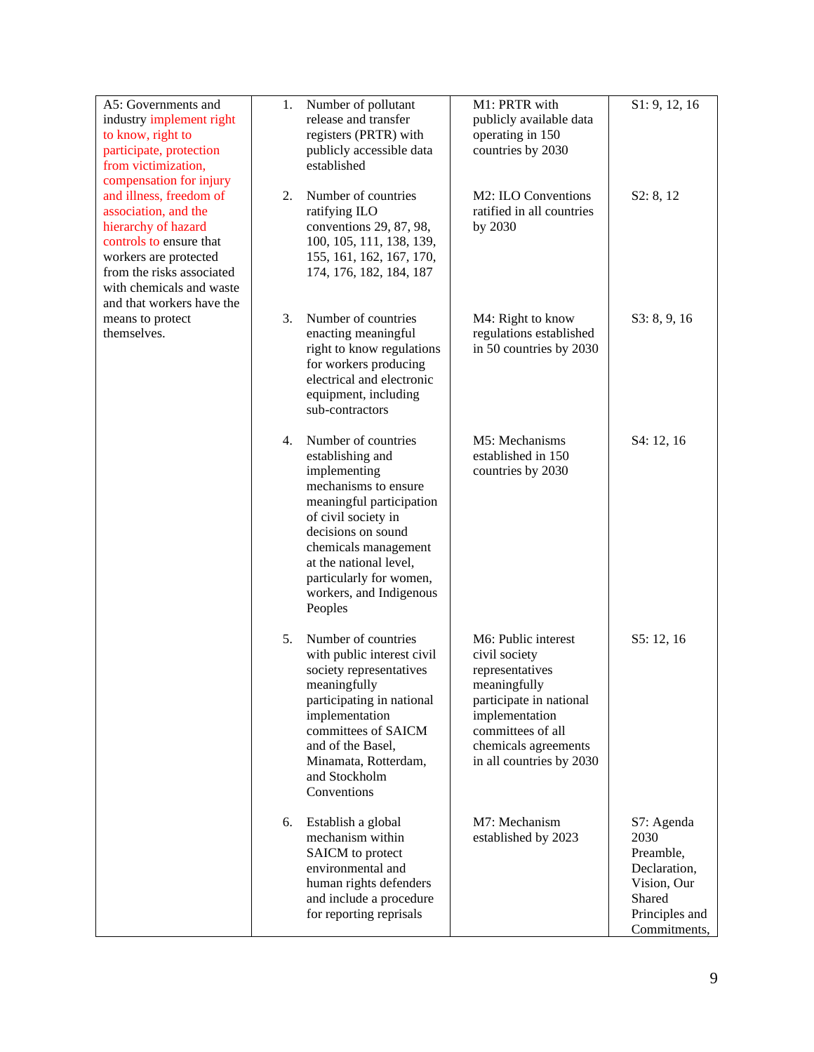| A5: Governments and<br>industry implement right<br>to know, right to<br>participate, protection<br>from victimization,<br>compensation for injury                                                                | 1. | Number of pollutant<br>release and transfer<br>registers (PRTR) with<br>publicly accessible data<br>established                                                                                                                                                             | M1: PRTR with<br>publicly available data<br>operating in 150<br>countries by 2030                                                                                                             | S1: 9, 12, 16                                                                                              |
|------------------------------------------------------------------------------------------------------------------------------------------------------------------------------------------------------------------|----|-----------------------------------------------------------------------------------------------------------------------------------------------------------------------------------------------------------------------------------------------------------------------------|-----------------------------------------------------------------------------------------------------------------------------------------------------------------------------------------------|------------------------------------------------------------------------------------------------------------|
| and illness, freedom of<br>association, and the<br>hierarchy of hazard<br>controls to ensure that<br>workers are protected<br>from the risks associated<br>with chemicals and waste<br>and that workers have the | 2. | Number of countries<br>ratifying ILO<br>conventions 29, 87, 98,<br>100, 105, 111, 138, 139,<br>155, 161, 162, 167, 170,<br>174, 176, 182, 184, 187                                                                                                                          | M2: ILO Conventions<br>ratified in all countries<br>by 2030                                                                                                                                   | S2: 8, 12                                                                                                  |
| means to protect<br>themselves.                                                                                                                                                                                  | 3. | Number of countries<br>enacting meaningful<br>right to know regulations<br>for workers producing<br>electrical and electronic<br>equipment, including<br>sub-contractors                                                                                                    | M4: Right to know<br>regulations established<br>in 50 countries by 2030                                                                                                                       | S3: 8, 9, 16                                                                                               |
|                                                                                                                                                                                                                  | 4. | Number of countries<br>establishing and<br>implementing<br>mechanisms to ensure<br>meaningful participation<br>of civil society in<br>decisions on sound<br>chemicals management<br>at the national level,<br>particularly for women,<br>workers, and Indigenous<br>Peoples | M5: Mechanisms<br>established in 150<br>countries by 2030                                                                                                                                     | S4: 12, 16                                                                                                 |
|                                                                                                                                                                                                                  | 5. | Number of countries<br>with public interest civil<br>society representatives<br>meaningfully<br>participating in national<br>implementation<br>committees of SAICM<br>and of the Basel,<br>Minamata, Rotterdam,<br>and Stockholm<br>Conventions                             | M6: Public interest<br>civil society<br>representatives<br>meaningfully<br>participate in national<br>implementation<br>committees of all<br>chemicals agreements<br>in all countries by 2030 | S5: 12, 16                                                                                                 |
|                                                                                                                                                                                                                  | 6. | Establish a global<br>mechanism within<br>SAICM to protect<br>environmental and<br>human rights defenders<br>and include a procedure<br>for reporting reprisals                                                                                                             | M7: Mechanism<br>established by 2023                                                                                                                                                          | S7: Agenda<br>2030<br>Preamble,<br>Declaration,<br>Vision, Our<br>Shared<br>Principles and<br>Commitments, |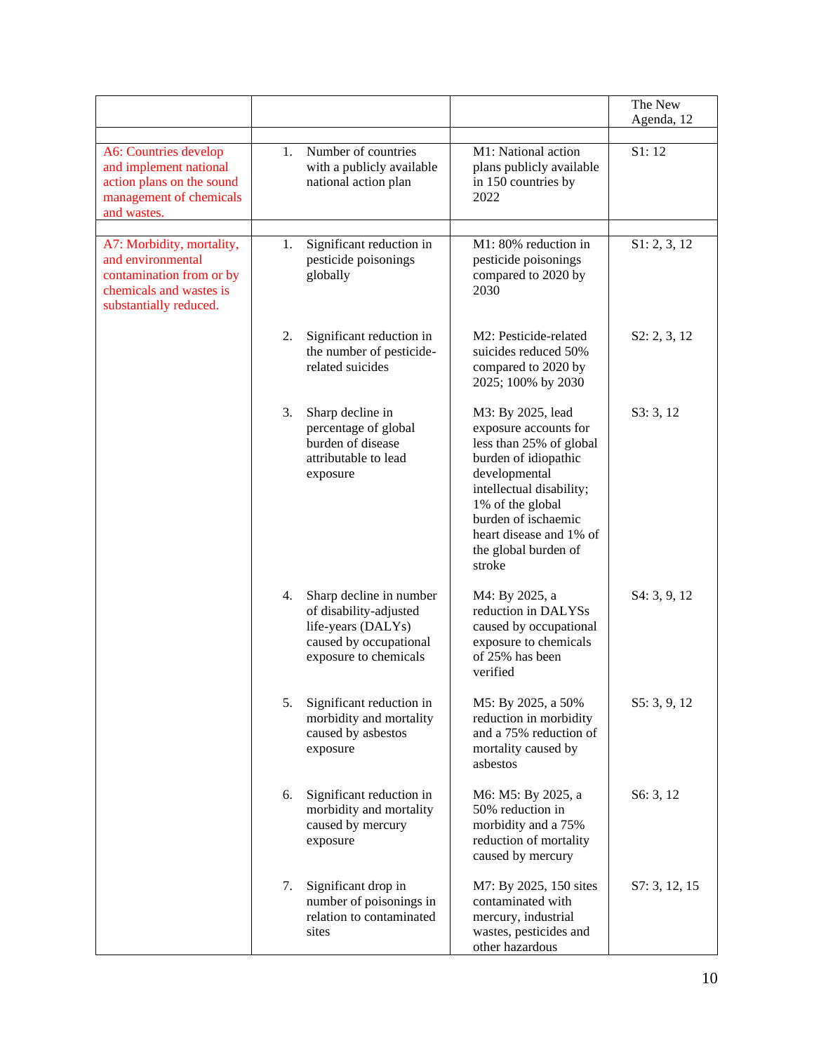|                                                                                                                                 |    |                                                                                                                            |                                                                                                                                                                                                                                                    | The New       |
|---------------------------------------------------------------------------------------------------------------------------------|----|----------------------------------------------------------------------------------------------------------------------------|----------------------------------------------------------------------------------------------------------------------------------------------------------------------------------------------------------------------------------------------------|---------------|
|                                                                                                                                 |    |                                                                                                                            |                                                                                                                                                                                                                                                    | Agenda, 12    |
| A6: Countries develop<br>and implement national<br>action plans on the sound<br>management of chemicals<br>and wastes.          | 1. | Number of countries<br>with a publicly available<br>national action plan                                                   | M1: National action<br>plans publicly available<br>in 150 countries by<br>2022                                                                                                                                                                     | S1:12         |
| A7: Morbidity, mortality,<br>and environmental<br>contamination from or by<br>chemicals and wastes is<br>substantially reduced. | 1. | Significant reduction in<br>pesticide poisonings<br>globally                                                               | M1: 80% reduction in<br>pesticide poisonings<br>compared to 2020 by<br>2030                                                                                                                                                                        | S1: 2, 3, 12  |
|                                                                                                                                 | 2. | Significant reduction in<br>the number of pesticide-<br>related suicides                                                   | M2: Pesticide-related<br>suicides reduced 50%<br>compared to 2020 by<br>2025; 100% by 2030                                                                                                                                                         | S2: 2, 3, 12  |
|                                                                                                                                 | 3. | Sharp decline in<br>percentage of global<br>burden of disease<br>attributable to lead<br>exposure                          | M3: By 2025, lead<br>exposure accounts for<br>less than 25% of global<br>burden of idiopathic<br>developmental<br>intellectual disability;<br>1% of the global<br>burden of ischaemic<br>heart disease and 1% of<br>the global burden of<br>stroke | S3:3,12       |
|                                                                                                                                 | 4. | Sharp decline in number<br>of disability-adjusted<br>life-years (DALYs)<br>caused by occupational<br>exposure to chemicals | M4: By 2025, a<br>reduction in DALYSs<br>caused by occupational<br>exposure to chemicals<br>of 25% has been<br>verified                                                                                                                            | S4: 3, 9, 12  |
|                                                                                                                                 | 5. | Significant reduction in<br>morbidity and mortality<br>caused by asbestos<br>exposure                                      | M5: By 2025, a 50%<br>reduction in morbidity<br>and a 75% reduction of<br>mortality caused by<br>asbestos                                                                                                                                          | S5: 3, 9, 12  |
|                                                                                                                                 | 6. | Significant reduction in<br>morbidity and mortality<br>caused by mercury<br>exposure                                       | M6: M5: By 2025, a<br>50% reduction in<br>morbidity and a 75%<br>reduction of mortality<br>caused by mercury                                                                                                                                       | S6: 3, 12     |
|                                                                                                                                 | 7. | Significant drop in<br>number of poisonings in<br>relation to contaminated<br>sites                                        | M7: By 2025, 150 sites<br>contaminated with<br>mercury, industrial<br>wastes, pesticides and<br>other hazardous                                                                                                                                    | S7: 3, 12, 15 |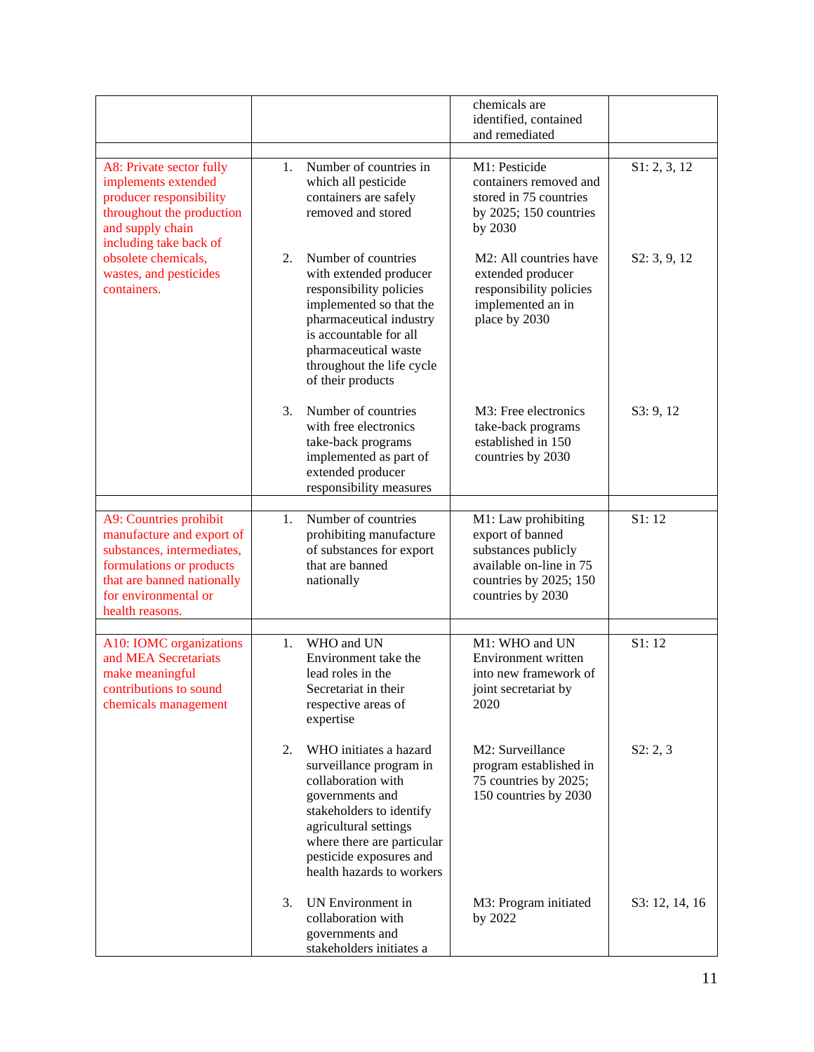|                                                                                                                                                                                        |    |                                                                                                                                                                                                                                       | chemicals are<br>identified, contained<br>and remediated                                                                                 |                |
|----------------------------------------------------------------------------------------------------------------------------------------------------------------------------------------|----|---------------------------------------------------------------------------------------------------------------------------------------------------------------------------------------------------------------------------------------|------------------------------------------------------------------------------------------------------------------------------------------|----------------|
| A8: Private sector fully<br>implements extended<br>producer responsibility<br>throughout the production<br>and supply chain<br>including take back of                                  | 1. | Number of countries in<br>which all pesticide<br>containers are safely<br>removed and stored                                                                                                                                          | M1: Pesticide<br>containers removed and<br>stored in 75 countries<br>by $2025$ ; 150 countries<br>by 2030                                | S1: 2, 3, 12   |
| obsolete chemicals,<br>wastes, and pesticides<br>containers.                                                                                                                           | 2. | Number of countries<br>with extended producer<br>responsibility policies<br>implemented so that the<br>pharmaceutical industry<br>is accountable for all<br>pharmaceutical waste<br>throughout the life cycle<br>of their products    | M <sub>2</sub> : All countries have<br>extended producer<br>responsibility policies<br>implemented an in<br>place by 2030                | S2: 3, 9, 12   |
|                                                                                                                                                                                        | 3. | Number of countries<br>with free electronics<br>take-back programs<br>implemented as part of<br>extended producer<br>responsibility measures                                                                                          | M3: Free electronics<br>take-back programs<br>established in 150<br>countries by 2030                                                    | S3: 9, 12      |
| A9: Countries prohibit<br>manufacture and export of<br>substances, intermediates,<br>formulations or products<br>that are banned nationally<br>for environmental or<br>health reasons. | 1. | Number of countries<br>prohibiting manufacture<br>of substances for export<br>that are banned<br>nationally                                                                                                                           | M1: Law prohibiting<br>export of banned<br>substances publicly<br>available on-line in 75<br>countries by 2025; 150<br>countries by 2030 | S1:12          |
| A10: IOMC organizations<br>and MEA Secretariats<br>make meaningful<br>contributions to sound<br>chemicals management                                                                   | 1. | WHO and UN<br>Environment take the<br>lead roles in the<br>Secretariat in their<br>respective areas of<br>expertise                                                                                                                   | M1: WHO and UN<br>Environment written<br>into new framework of<br>joint secretariat by<br>2020                                           | S1:12          |
|                                                                                                                                                                                        | 2. | WHO initiates a hazard<br>surveillance program in<br>collaboration with<br>governments and<br>stakeholders to identify<br>agricultural settings<br>where there are particular<br>pesticide exposures and<br>health hazards to workers | M2: Surveillance<br>program established in<br>75 countries by 2025;<br>150 countries by 2030                                             | S2: 2, 3       |
|                                                                                                                                                                                        | 3. | UN Environment in<br>collaboration with<br>governments and<br>stakeholders initiates a                                                                                                                                                | M3: Program initiated<br>by 2022                                                                                                         | S3: 12, 14, 16 |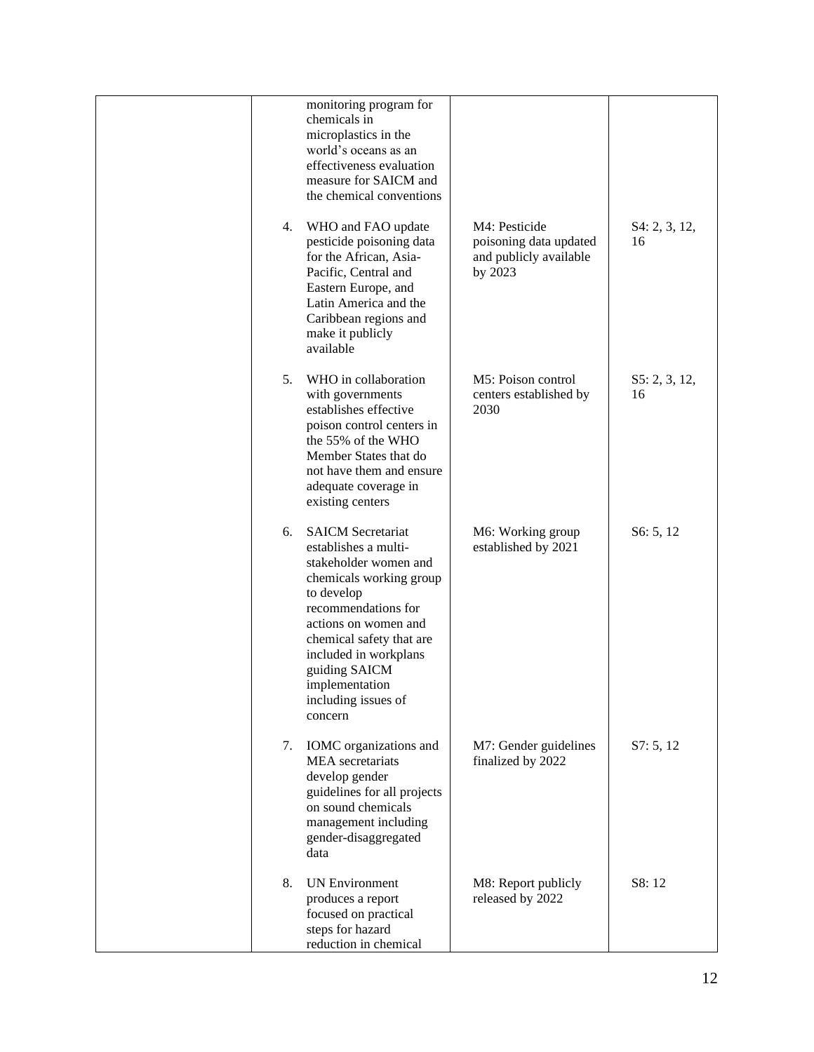|    | monitoring program for                                                                                                                                                                                                                                                                      |                                                                              |                     |
|----|---------------------------------------------------------------------------------------------------------------------------------------------------------------------------------------------------------------------------------------------------------------------------------------------|------------------------------------------------------------------------------|---------------------|
|    | chemicals in<br>microplastics in the<br>world's oceans as an<br>effectiveness evaluation<br>measure for SAICM and<br>the chemical conventions                                                                                                                                               |                                                                              |                     |
| 4. | WHO and FAO update<br>pesticide poisoning data<br>for the African, Asia-<br>Pacific, Central and<br>Eastern Europe, and<br>Latin America and the<br>Caribbean regions and<br>make it publicly<br>available                                                                                  | M4: Pesticide<br>poisoning data updated<br>and publicly available<br>by 2023 | S4: 2, 3, 12,<br>16 |
| 5. | WHO in collaboration<br>with governments<br>establishes effective<br>poison control centers in<br>the 55% of the WHO<br>Member States that do<br>not have them and ensure<br>adequate coverage in<br>existing centers                                                                       | M5: Poison control<br>centers established by<br>2030                         | S5: 2, 3, 12,<br>16 |
| 6. | <b>SAICM Secretariat</b><br>establishes a multi-<br>stakeholder women and<br>chemicals working group<br>to develop<br>recommendations for<br>actions on women and<br>chemical safety that are<br>included in workplans<br>guiding SAICM<br>implementation<br>including issues of<br>concern | M6: Working group<br>established by 2021                                     | S6: 5, 12           |
| 7. | IOMC organizations and<br><b>MEA</b> secretariats<br>develop gender<br>guidelines for all projects<br>on sound chemicals<br>management including<br>gender-disaggregated<br>data                                                                                                            | M7: Gender guidelines<br>finalized by 2022                                   | S7: 5, 12           |
| 8. | <b>UN Environment</b><br>produces a report<br>focused on practical<br>steps for hazard<br>reduction in chemical                                                                                                                                                                             | M8: Report publicly<br>released by 2022                                      | S8:12               |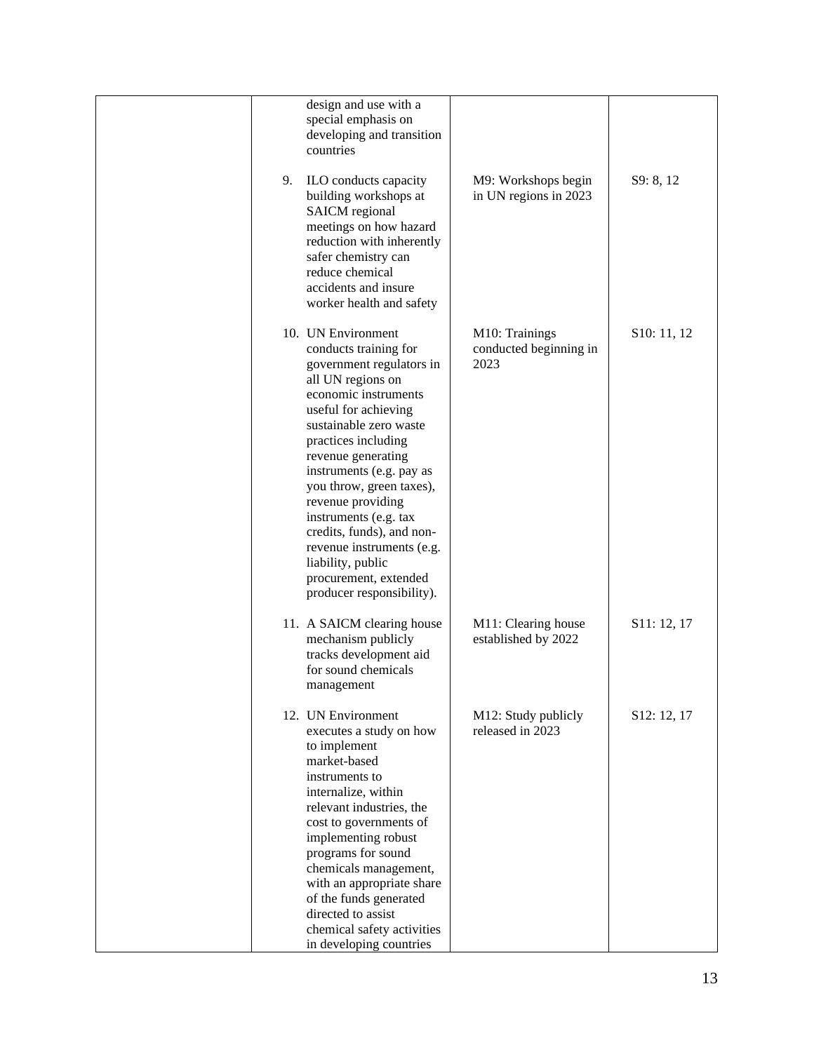| 9. | design and use with a<br>special emphasis on<br>developing and transition<br>countries<br>ILO conducts capacity<br>building workshops at<br><b>SAICM</b> regional<br>meetings on how hazard<br>reduction with inherently<br>safer chemistry can<br>reduce chemical<br>accidents and insure                                                                                               | M9: Workshops begin<br>in UN regions in 2023     | S9: 8, 12   |
|----|------------------------------------------------------------------------------------------------------------------------------------------------------------------------------------------------------------------------------------------------------------------------------------------------------------------------------------------------------------------------------------------|--------------------------------------------------|-------------|
|    | worker health and safety<br>10. UN Environment<br>conducts training for<br>government regulators in<br>all UN regions on<br>economic instruments<br>useful for achieving<br>sustainable zero waste                                                                                                                                                                                       | M10: Trainings<br>conducted beginning in<br>2023 | S10: 11, 12 |
|    | practices including<br>revenue generating<br>instruments (e.g. pay as<br>you throw, green taxes),<br>revenue providing<br>instruments (e.g. tax<br>credits, funds), and non-<br>revenue instruments (e.g.<br>liability, public<br>procurement, extended<br>producer responsibility).                                                                                                     |                                                  |             |
|    | 11. A SAICM clearing house<br>mechanism publicly<br>tracks development aid<br>for sound chemicals<br>management                                                                                                                                                                                                                                                                          | M11: Clearing house<br>established by 2022       | S11: 12, 17 |
|    | 12. UN Environment<br>executes a study on how<br>to implement<br>market-based<br>instruments to<br>internalize, within<br>relevant industries, the<br>cost to governments of<br>implementing robust<br>programs for sound<br>chemicals management,<br>with an appropriate share<br>of the funds generated<br>directed to assist<br>chemical safety activities<br>in developing countries | M12: Study publicly<br>released in 2023          | S12: 12, 17 |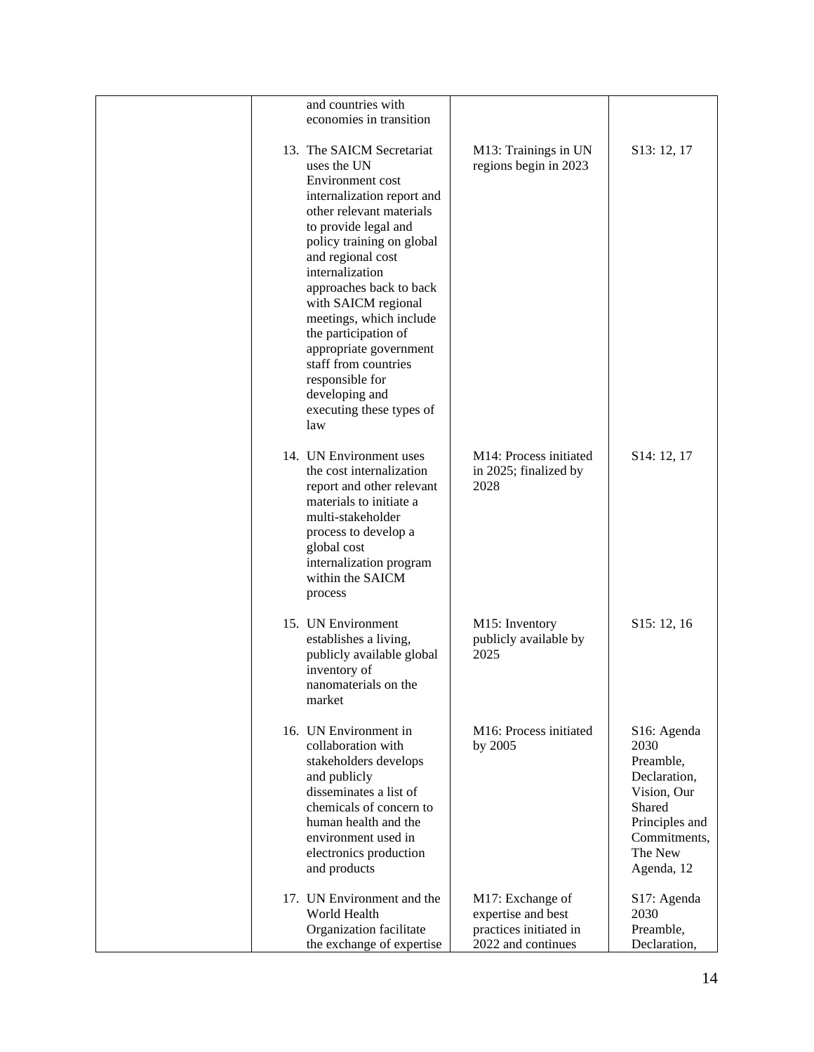| and countries with<br>economies in transition                                                                                                                                                                                                                                                                                                                                                                                                      |                                                         |                                                                                                                                      |
|----------------------------------------------------------------------------------------------------------------------------------------------------------------------------------------------------------------------------------------------------------------------------------------------------------------------------------------------------------------------------------------------------------------------------------------------------|---------------------------------------------------------|--------------------------------------------------------------------------------------------------------------------------------------|
|                                                                                                                                                                                                                                                                                                                                                                                                                                                    |                                                         |                                                                                                                                      |
| 13. The SAICM Secretariat<br>uses the UN<br>Environment cost<br>internalization report and<br>other relevant materials<br>to provide legal and<br>policy training on global<br>and regional cost<br>internalization<br>approaches back to back<br>with SAICM regional<br>meetings, which include<br>the participation of<br>appropriate government<br>staff from countries<br>responsible for<br>developing and<br>executing these types of<br>law | M13: Trainings in UN<br>regions begin in 2023           | S <sub>13</sub> : 12, 17                                                                                                             |
| 14. UN Environment uses<br>the cost internalization<br>report and other relevant<br>materials to initiate a<br>multi-stakeholder<br>process to develop a<br>global cost<br>internalization program<br>within the SAICM<br>process                                                                                                                                                                                                                  | M14: Process initiated<br>in 2025; finalized by<br>2028 | S <sub>14</sub> : 12, 17                                                                                                             |
| 15. UN Environment<br>establishes a living,<br>publicly available global<br>inventory of<br>nanomaterials on the<br>market                                                                                                                                                                                                                                                                                                                         | M15: Inventory<br>publicly available by<br>2025         | S <sub>15</sub> : 12, 16                                                                                                             |
| 16. UN Environment in<br>collaboration with<br>stakeholders develops<br>and publicly<br>disseminates a list of<br>chemicals of concern to<br>human health and the<br>environment used in<br>electronics production<br>and products                                                                                                                                                                                                                 | M16: Process initiated<br>by 2005                       | S16: Agenda<br>2030<br>Preamble,<br>Declaration,<br>Vision, Our<br>Shared<br>Principles and<br>Commitments,<br>The New<br>Agenda, 12 |
| 17. UN Environment and the<br>World Health                                                                                                                                                                                                                                                                                                                                                                                                         | M17: Exchange of<br>expertise and best                  | S17: Agenda<br>2030                                                                                                                  |
| Organization facilitate                                                                                                                                                                                                                                                                                                                                                                                                                            | practices initiated in                                  | Preamble,                                                                                                                            |
| the exchange of expertise                                                                                                                                                                                                                                                                                                                                                                                                                          | 2022 and continues                                      | Declaration,                                                                                                                         |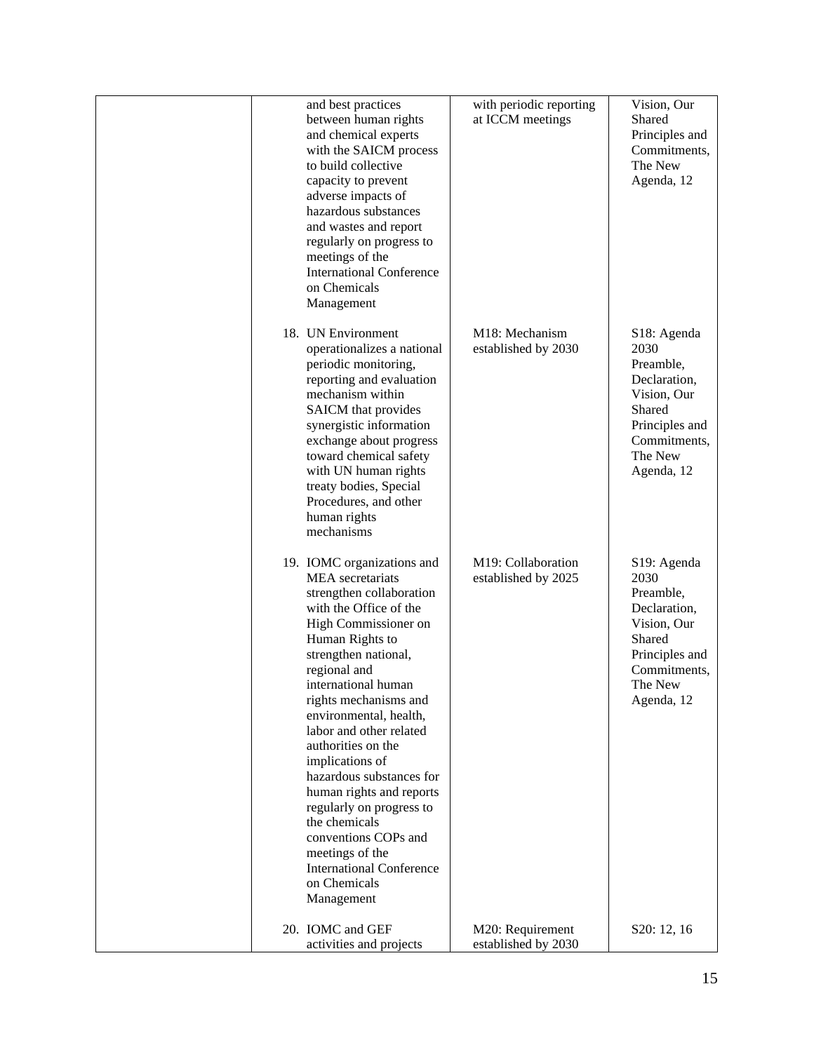| and best practices<br>between human rights<br>and chemical experts<br>with the SAICM process<br>to build collective<br>capacity to prevent<br>adverse impacts of<br>hazardous substances<br>and wastes and report<br>regularly on progress to<br>meetings of the<br><b>International Conference</b><br>on Chemicals<br>Management                                                                                                                                                                                                                             | with periodic reporting<br>at ICCM meetings | Vision, Our<br>Shared<br>Principles and<br>Commitments,<br>The New<br>Agenda, 12                                                                  |
|---------------------------------------------------------------------------------------------------------------------------------------------------------------------------------------------------------------------------------------------------------------------------------------------------------------------------------------------------------------------------------------------------------------------------------------------------------------------------------------------------------------------------------------------------------------|---------------------------------------------|---------------------------------------------------------------------------------------------------------------------------------------------------|
| 18. UN Environment<br>operationalizes a national<br>periodic monitoring,<br>reporting and evaluation<br>mechanism within<br>SAICM that provides<br>synergistic information<br>exchange about progress<br>toward chemical safety<br>with UN human rights<br>treaty bodies, Special<br>Procedures, and other<br>human rights<br>mechanisms                                                                                                                                                                                                                      | M18: Mechanism<br>established by 2030       | S <sub>18</sub> : Agenda<br>2030<br>Preamble,<br>Declaration,<br>Vision, Our<br>Shared<br>Principles and<br>Commitments,<br>The New<br>Agenda, 12 |
| 19. IOMC organizations and<br><b>MEA</b> secretariats<br>strengthen collaboration<br>with the Office of the<br>High Commissioner on<br>Human Rights to<br>strengthen national,<br>regional and<br>international human<br>rights mechanisms and<br>environmental, health,<br>labor and other related<br>authorities on the<br>implications of<br>hazardous substances for<br>human rights and reports<br>regularly on progress to<br>the chemicals<br>conventions COPs and<br>meetings of the<br><b>International Conference</b><br>on Chemicals<br>Management | M19: Collaboration<br>established by 2025   | S <sub>19</sub> : Agenda<br>2030<br>Preamble,<br>Declaration,<br>Vision, Our<br>Shared<br>Principles and<br>Commitments,<br>The New<br>Agenda, 12 |
| 20. IOMC and GEF<br>activities and projects                                                                                                                                                                                                                                                                                                                                                                                                                                                                                                                   | M20: Requirement<br>established by 2030     | S20: 12, 16                                                                                                                                       |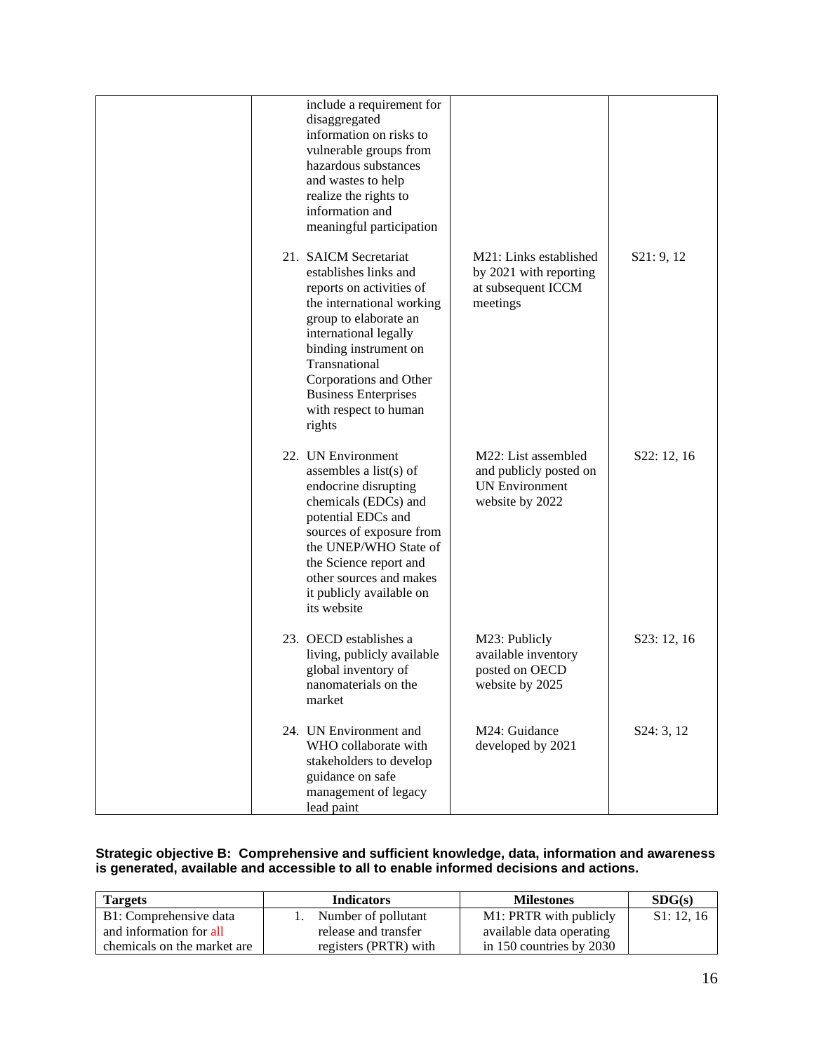|        | include a requirement for<br>disaggregated<br>information on risks to<br>vulnerable groups from<br>hazardous substances<br>and wastes to help<br>realize the rights to<br>information and<br>meaningful participation                                                                 |                                                                                           |             |
|--------|---------------------------------------------------------------------------------------------------------------------------------------------------------------------------------------------------------------------------------------------------------------------------------------|-------------------------------------------------------------------------------------------|-------------|
| rights | 21. SAICM Secretariat<br>establishes links and<br>reports on activities of<br>the international working<br>group to elaborate an<br>international legally<br>binding instrument on<br>Transnational<br>Corporations and Other<br><b>Business Enterprises</b><br>with respect to human | M21: Links established<br>by 2021 with reporting<br>at subsequent ICCM<br>meetings        | S21: 9, 12  |
|        | 22. UN Environment<br>assembles a list $(s)$ of<br>endocrine disrupting<br>chemicals (EDCs) and<br>potential EDCs and<br>sources of exposure from<br>the UNEP/WHO State of<br>the Science report and<br>other sources and makes<br>it publicly available on<br>its website            | M22: List assembled<br>and publicly posted on<br><b>UN Environment</b><br>website by 2022 | S22: 12, 16 |
| market | 23. OECD establishes a<br>living, publicly available<br>global inventory of<br>nanomaterials on the                                                                                                                                                                                   | M23: Publicly<br>available inventory<br>posted on OECD<br>website by 2025                 | S23: 12, 16 |
|        | 24. UN Environment and<br>WHO collaborate with<br>stakeholders to develop<br>guidance on safe<br>management of legacy<br>lead paint                                                                                                                                                   | M24: Guidance<br>developed by 2021                                                        | S24: 3, 12  |

# **Strategic objective B: Comprehensive and sufficient knowledge, data, information and awareness is generated, available and accessible to all to enable informed decisions and actions.**

| <b>Targets</b>              | <b>Indicators</b>     | <b>Milestones</b>            | SDG(s)    |
|-----------------------------|-----------------------|------------------------------|-----------|
| B1: Comprehensive data      | Number of pollutant   | M1: PRTR with publicly       | S1: 12.16 |
| and information for all     | release and transfer  | available data operating     |           |
| chemicals on the market are | registers (PRTR) with | in $150$ countries by $2030$ |           |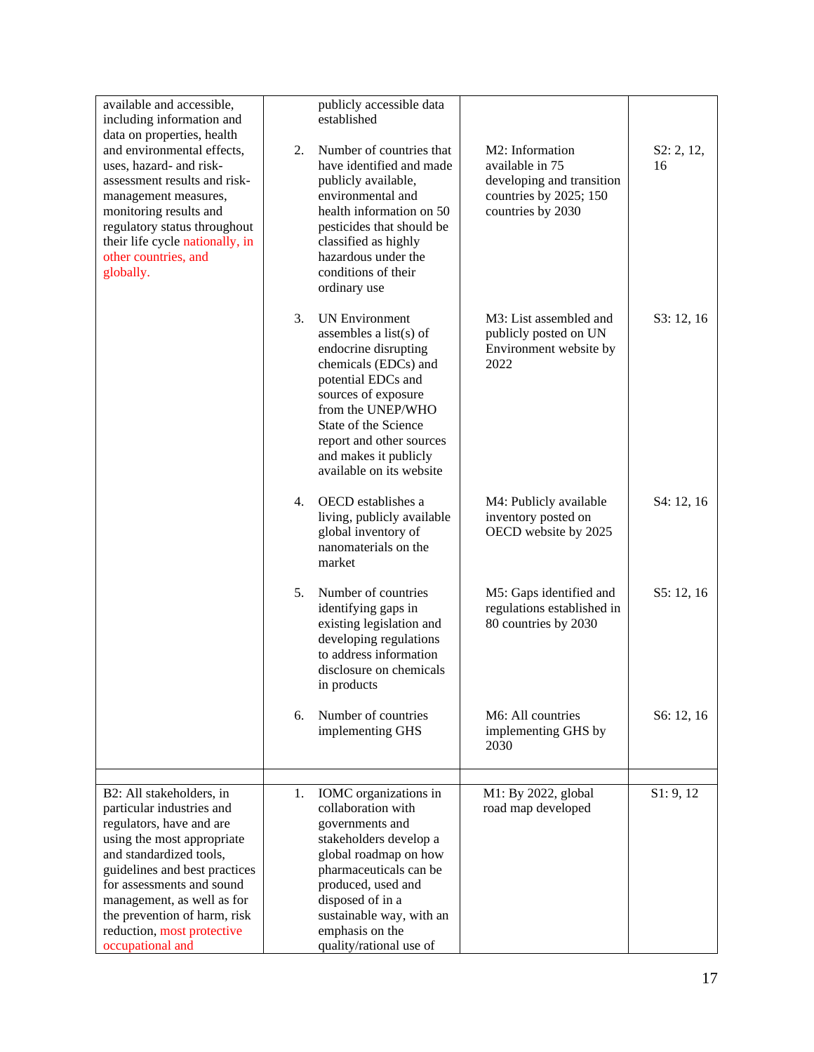| available and accessible,<br>including information and                                                                                                                                                                                                                                                                   |    | publicly accessible data<br>established                                                                                                                                                                                                                                    |                                                                                                                |                  |
|--------------------------------------------------------------------------------------------------------------------------------------------------------------------------------------------------------------------------------------------------------------------------------------------------------------------------|----|----------------------------------------------------------------------------------------------------------------------------------------------------------------------------------------------------------------------------------------------------------------------------|----------------------------------------------------------------------------------------------------------------|------------------|
| data on properties, health<br>and environmental effects,<br>uses, hazard- and risk-<br>assessment results and risk-<br>management measures,<br>monitoring results and<br>regulatory status throughout<br>their life cycle nationally, in<br>other countries, and<br>globally.                                            | 2. | Number of countries that<br>have identified and made<br>publicly available,<br>environmental and<br>health information on 50<br>pesticides that should be<br>classified as highly<br>hazardous under the<br>conditions of their<br>ordinary use                            | M2: Information<br>available in 75<br>developing and transition<br>countries by 2025; 150<br>countries by 2030 | S2: 2, 12,<br>16 |
|                                                                                                                                                                                                                                                                                                                          | 3. | <b>UN Environment</b><br>assembles a list(s) of<br>endocrine disrupting<br>chemicals (EDCs) and<br>potential EDCs and<br>sources of exposure<br>from the UNEP/WHO<br>State of the Science<br>report and other sources<br>and makes it publicly<br>available on its website | M3: List assembled and<br>publicly posted on UN<br>Environment website by<br>2022                              | S3: 12, 16       |
|                                                                                                                                                                                                                                                                                                                          | 4. | OECD establishes a<br>living, publicly available<br>global inventory of<br>nanomaterials on the<br>market                                                                                                                                                                  | M4: Publicly available<br>inventory posted on<br>OECD website by 2025                                          | S4: 12, 16       |
|                                                                                                                                                                                                                                                                                                                          | 5. | Number of countries<br>identifying gaps in<br>existing legislation and<br>developing regulations<br>to address information<br>disclosure on chemicals<br>in products                                                                                                       | M5: Gaps identified and<br>regulations established in<br>80 countries by 2030                                  | S5: 12, 16       |
|                                                                                                                                                                                                                                                                                                                          | 6. | Number of countries<br>implementing GHS                                                                                                                                                                                                                                    | M6: All countries<br>implementing GHS by<br>2030                                                               | S6: 12, 16       |
| B2: All stakeholders, in<br>particular industries and<br>regulators, have and are<br>using the most appropriate<br>and standardized tools,<br>guidelines and best practices<br>for assessments and sound<br>management, as well as for<br>the prevention of harm, risk<br>reduction, most protective<br>occupational and | 1. | IOMC organizations in<br>collaboration with<br>governments and<br>stakeholders develop a<br>global roadmap on how<br>pharmaceuticals can be<br>produced, used and<br>disposed of in a<br>sustainable way, with an<br>emphasis on the<br>quality/rational use of            | M1: By 2022, global<br>road map developed                                                                      | S1: 9, 12        |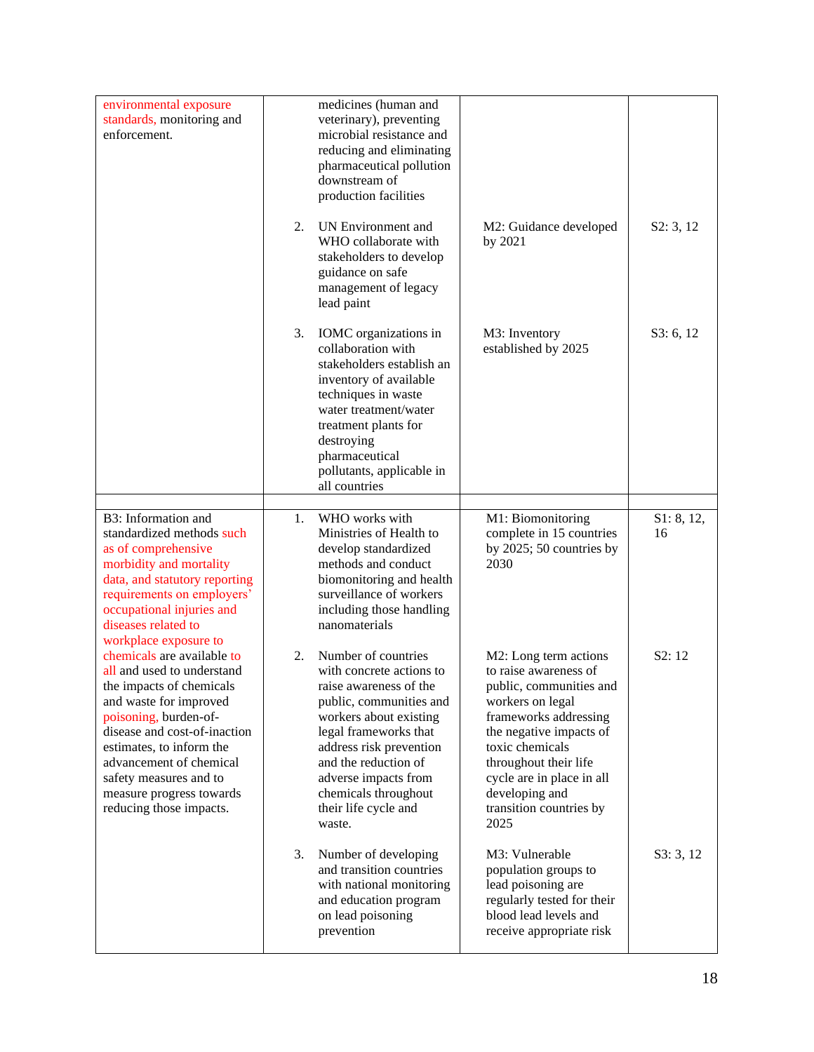| environmental exposure<br>standards, monitoring and<br>enforcement.                                                                                                                                                                                                                                             |    | medicines (human and<br>veterinary), preventing<br>microbial resistance and<br>reducing and eliminating<br>pharmaceutical pollution<br>downstream of<br>production facilities                                                                                                                |                                                                                                                                                                                                                                                                                 |                  |
|-----------------------------------------------------------------------------------------------------------------------------------------------------------------------------------------------------------------------------------------------------------------------------------------------------------------|----|----------------------------------------------------------------------------------------------------------------------------------------------------------------------------------------------------------------------------------------------------------------------------------------------|---------------------------------------------------------------------------------------------------------------------------------------------------------------------------------------------------------------------------------------------------------------------------------|------------------|
|                                                                                                                                                                                                                                                                                                                 | 2. | <b>UN Environment and</b><br>WHO collaborate with<br>stakeholders to develop<br>guidance on safe<br>management of legacy<br>lead paint                                                                                                                                                       | M2: Guidance developed<br>by 2021                                                                                                                                                                                                                                               | S2: 3, 12        |
|                                                                                                                                                                                                                                                                                                                 | 3. | IOMC organizations in<br>collaboration with<br>stakeholders establish an<br>inventory of available<br>techniques in waste<br>water treatment/water<br>treatment plants for<br>destroying<br>pharmaceutical<br>pollutants, applicable in<br>all countries                                     | M3: Inventory<br>established by 2025                                                                                                                                                                                                                                            | S3: 6, 12        |
| B3: Information and<br>standardized methods such<br>as of comprehensive<br>morbidity and mortality<br>data, and statutory reporting<br>requirements on employers'<br>occupational injuries and<br>diseases related to<br>workplace exposure to                                                                  | 1. | WHO works with<br>Ministries of Health to<br>develop standardized<br>methods and conduct<br>biomonitoring and health<br>surveillance of workers<br>including those handling<br>nanomaterials                                                                                                 | M1: Biomonitoring<br>complete in 15 countries<br>by 2025; 50 countries by<br>2030                                                                                                                                                                                               | S1: 8, 12,<br>16 |
| chemicals are available to<br>all and used to understand<br>the impacts of chemicals<br>and waste for improved<br>poisoning, burden-of-<br>disease and cost-of-inaction<br>estimates, to inform the<br>advancement of chemical<br>safety measures and to<br>measure progress towards<br>reducing those impacts. | 2. | Number of countries<br>with concrete actions to<br>raise awareness of the<br>public, communities and<br>workers about existing<br>legal frameworks that<br>address risk prevention<br>and the reduction of<br>adverse impacts from<br>chemicals throughout<br>their life cycle and<br>waste. | M2: Long term actions<br>to raise awareness of<br>public, communities and<br>workers on legal<br>frameworks addressing<br>the negative impacts of<br>toxic chemicals<br>throughout their life<br>cycle are in place in all<br>developing and<br>transition countries by<br>2025 | S2:12            |
|                                                                                                                                                                                                                                                                                                                 | 3. | Number of developing<br>and transition countries<br>with national monitoring<br>and education program<br>on lead poisoning<br>prevention                                                                                                                                                     | M3: Vulnerable<br>population groups to<br>lead poisoning are<br>regularly tested for their<br>blood lead levels and<br>receive appropriate risk                                                                                                                                 | S3:3,12          |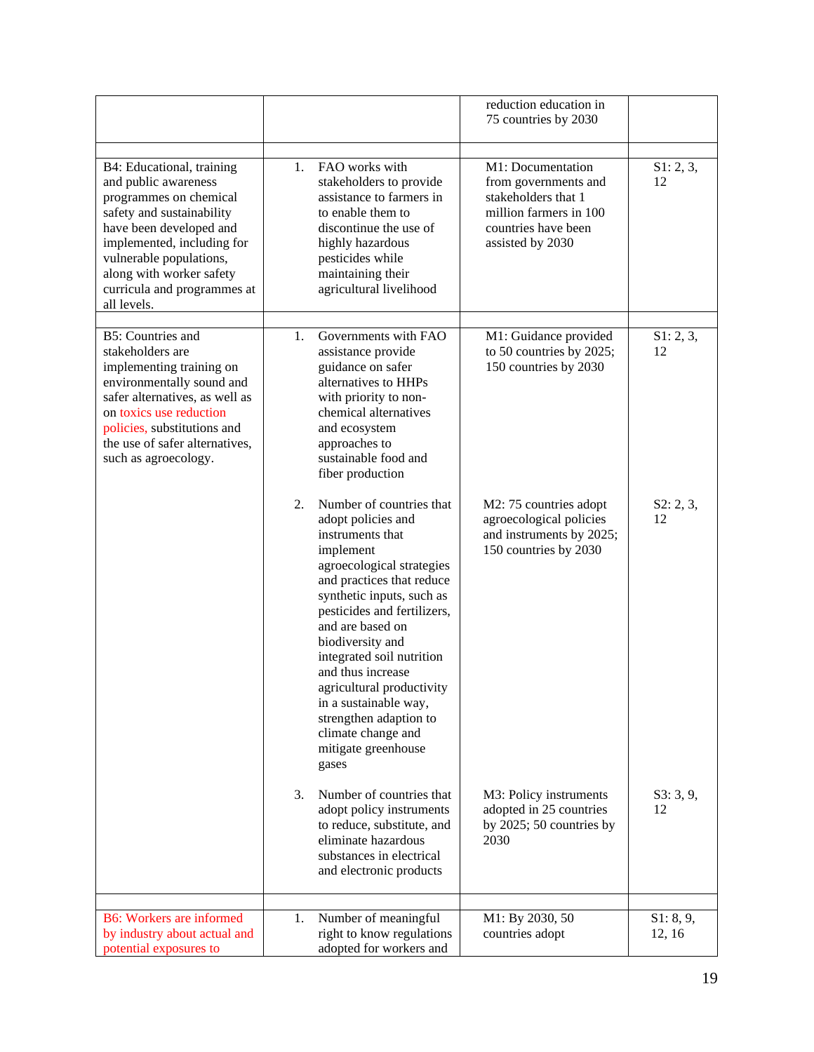|                                                                                                                                                                                                                                                                        |    |                                                                                                                                                                                                                                                                                                                                                                                                                                       | reduction education in<br>75 countries by 2030                                                                                        |                 |
|------------------------------------------------------------------------------------------------------------------------------------------------------------------------------------------------------------------------------------------------------------------------|----|---------------------------------------------------------------------------------------------------------------------------------------------------------------------------------------------------------------------------------------------------------------------------------------------------------------------------------------------------------------------------------------------------------------------------------------|---------------------------------------------------------------------------------------------------------------------------------------|-----------------|
| B4: Educational, training<br>and public awareness<br>programmes on chemical<br>safety and sustainability<br>have been developed and<br>implemented, including for<br>vulnerable populations,<br>along with worker safety<br>curricula and programmes at<br>all levels. | 1. | FAO works with<br>stakeholders to provide<br>assistance to farmers in<br>to enable them to<br>discontinue the use of<br>highly hazardous<br>pesticides while<br>maintaining their<br>agricultural livelihood                                                                                                                                                                                                                          | M1: Documentation<br>from governments and<br>stakeholders that 1<br>million farmers in 100<br>countries have been<br>assisted by 2030 | S1: 2, 3,<br>12 |
| <b>B5: Countries and</b><br>stakeholders are<br>implementing training on<br>environmentally sound and<br>safer alternatives, as well as<br>on toxics use reduction<br>policies, substitutions and<br>the use of safer alternatives,<br>such as agroecology.            | 1. | Governments with FAO<br>assistance provide<br>guidance on safer<br>alternatives to HHPs<br>with priority to non-<br>chemical alternatives<br>and ecosystem<br>approaches to<br>sustainable food and<br>fiber production                                                                                                                                                                                                               | M1: Guidance provided<br>to 50 countries by 2025;<br>150 countries by 2030                                                            | S1: 2, 3,<br>12 |
|                                                                                                                                                                                                                                                                        | 2. | Number of countries that<br>adopt policies and<br>instruments that<br>implement<br>agroecological strategies<br>and practices that reduce<br>synthetic inputs, such as<br>pesticides and fertilizers,<br>and are based on<br>biodiversity and<br>integrated soil nutrition<br>and thus increase<br>agricultural productivity<br>in a sustainable way,<br>strengthen adaption to<br>climate change and<br>mitigate greenhouse<br>gases | M2: 75 countries adopt<br>agroecological policies<br>and instruments by 2025;<br>150 countries by 2030                                | S2: 2, 3,<br>12 |
|                                                                                                                                                                                                                                                                        | 3. | Number of countries that<br>adopt policy instruments<br>to reduce, substitute, and<br>eliminate hazardous<br>substances in electrical<br>and electronic products                                                                                                                                                                                                                                                                      | M3: Policy instruments<br>adopted in 25 countries<br>by 2025; 50 countries by<br>2030                                                 | S3: 3, 9,<br>12 |
| <b>B6:</b> Workers are informed                                                                                                                                                                                                                                        | 1. | Number of meaningful                                                                                                                                                                                                                                                                                                                                                                                                                  | M1: By 2030, 50                                                                                                                       | S1: 8, 9,       |
| by industry about actual and<br>potential exposures to                                                                                                                                                                                                                 |    | right to know regulations<br>adopted for workers and                                                                                                                                                                                                                                                                                                                                                                                  | countries adopt                                                                                                                       | 12, 16          |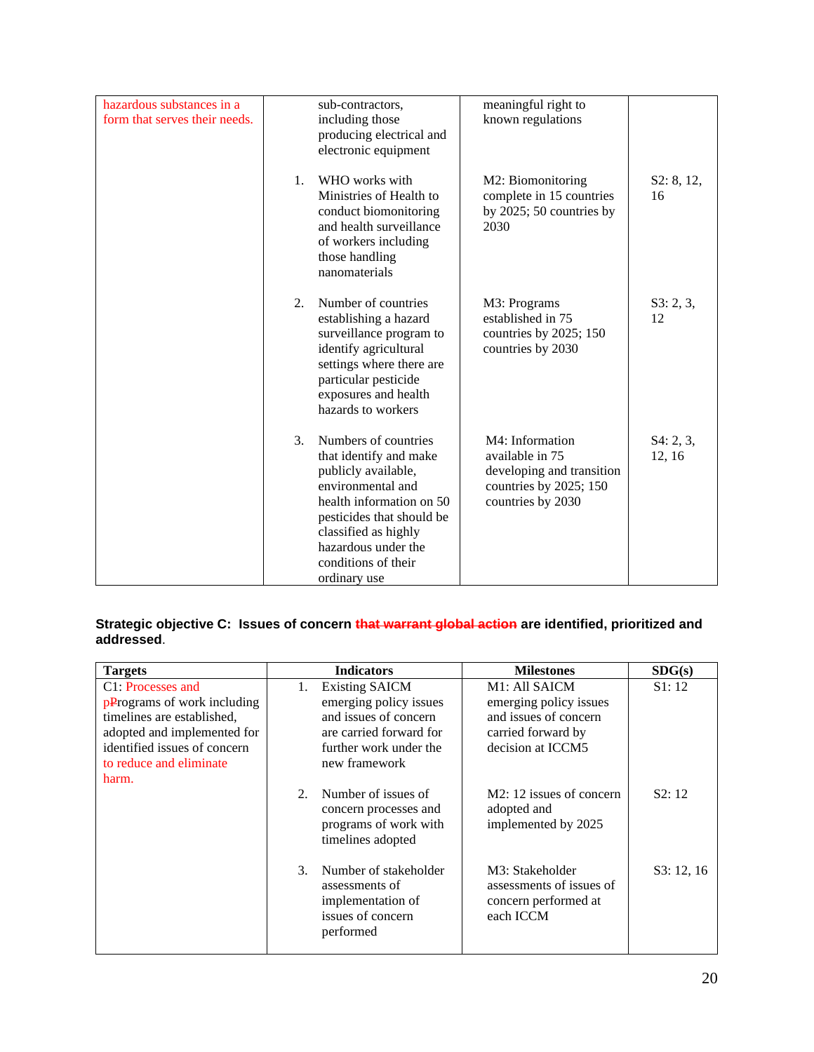| hazardous substances in a<br>form that serves their needs. |    | sub-contractors,<br>including those<br>producing electrical and<br>electronic equipment                                                                                                                                                   | meaningful right to<br>known regulations                                                                       |                     |
|------------------------------------------------------------|----|-------------------------------------------------------------------------------------------------------------------------------------------------------------------------------------------------------------------------------------------|----------------------------------------------------------------------------------------------------------------|---------------------|
|                                                            | 1. | WHO works with<br>Ministries of Health to<br>conduct biomonitoring<br>and health surveillance<br>of workers including<br>those handling<br>nanomaterials                                                                                  | M2: Biomonitoring<br>complete in 15 countries<br>by $2025$ ; 50 countries by<br>2030                           | S2: 8, 12,<br>16    |
|                                                            | 2. | Number of countries<br>establishing a hazard<br>surveillance program to<br>identify agricultural<br>settings where there are<br>particular pesticide<br>exposures and health<br>hazards to workers                                        | M3: Programs<br>established in 75<br>countries by 2025; 150<br>countries by 2030                               | S3: 2, 3,<br>12     |
|                                                            | 3. | Numbers of countries<br>that identify and make<br>publicly available,<br>environmental and<br>health information on 50<br>pesticides that should be<br>classified as highly<br>hazardous under the<br>conditions of their<br>ordinary use | M4: Information<br>available in 75<br>developing and transition<br>countries by 2025; 150<br>countries by 2030 | S4: 2, 3,<br>12, 16 |

# **Strategic objective C: Issues of concern that warrant global action are identified, prioritized and addressed**.

| <b>Targets</b>                                                                                                                                                                    |                             | <b>Indicators</b>                                                                                                                              | <b>Milestones</b>                                                                                                                    | SDG(s)     |
|-----------------------------------------------------------------------------------------------------------------------------------------------------------------------------------|-----------------------------|------------------------------------------------------------------------------------------------------------------------------------------------|--------------------------------------------------------------------------------------------------------------------------------------|------------|
| C1: Processes and<br>pPrograms of work including<br>timelines are established,<br>adopted and implemented for<br>identified issues of concern<br>to reduce and eliminate<br>harm. | 1.                          | <b>Existing SAICM</b><br>emerging policy issues<br>and issues of concern<br>are carried forward for<br>further work under the<br>new framework | M <sub>1</sub> : A <sub>11</sub> SAICM<br>emerging policy issues<br>and issues of concern<br>carried forward by<br>decision at ICCM5 | S1:12      |
|                                                                                                                                                                                   | $2_{\cdot}$                 | Number of issues of<br>concern processes and<br>programs of work with<br>timelines adopted                                                     | M2: 12 issues of concern<br>adopted and<br>implemented by 2025                                                                       | S2:12      |
|                                                                                                                                                                                   | $\mathcal{F}_{\mathcal{F}}$ | Number of stakeholder<br>assessments of<br>implementation of<br>issues of concern<br>performed                                                 | M3: Stakeholder<br>assessments of issues of<br>concern performed at<br>each ICCM                                                     | S3: 12, 16 |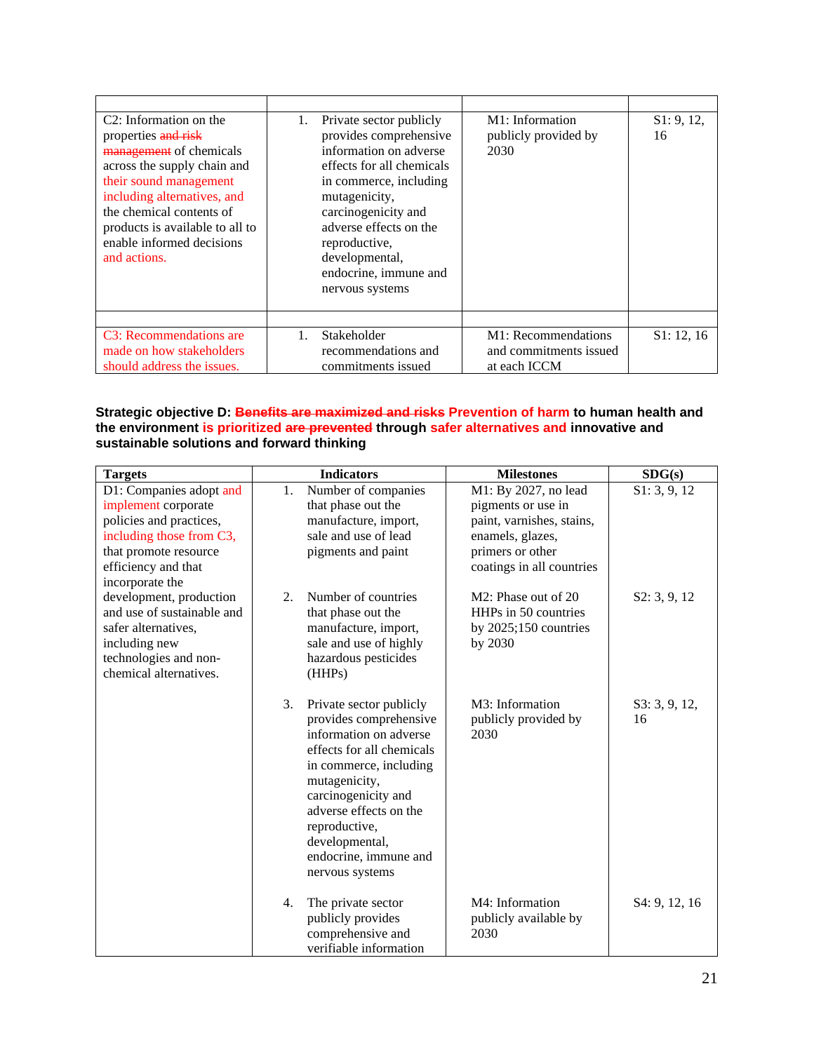| C <sub>2</sub> : Information on the<br>properties and risk<br>management of chemicals<br>across the supply chain and<br>their sound management<br>including alternatives, and<br>the chemical contents of<br>products is available to all to<br>enable informed decisions<br>and actions. | 1. | Private sector publicly<br>provides comprehensive<br>information on adverse<br>effects for all chemicals<br>in commerce, including<br>mutagenicity,<br>carcinogenicity and<br>adverse effects on the<br>reproductive,<br>developmental,<br>endocrine, immune and<br>nervous systems | M <sub>1</sub> : Information<br>publicly provided by<br>2030  | S1: 9, 12,<br>16 |
|-------------------------------------------------------------------------------------------------------------------------------------------------------------------------------------------------------------------------------------------------------------------------------------------|----|-------------------------------------------------------------------------------------------------------------------------------------------------------------------------------------------------------------------------------------------------------------------------------------|---------------------------------------------------------------|------------------|
| C3: Recommendations are<br>made on how stakeholders<br>should address the issues.                                                                                                                                                                                                         |    | Stakeholder<br>recommendations and<br>commitments issued                                                                                                                                                                                                                            | M1: Recommendations<br>and commitments issued<br>at each ICCM | S1: 12, 16       |

**Strategic objective D: Benefits are maximized and risks Prevention of harm to human health and the environment is prioritized are prevented through safer alternatives and innovative and sustainable solutions and forward thinking**

| <b>Targets</b>                                                                                                                                                           |    | <b>Indicators</b>                                                                                                                                                                                                                                                                   | <b>Milestones</b>                                                                                                                            | SDG(s)              |
|--------------------------------------------------------------------------------------------------------------------------------------------------------------------------|----|-------------------------------------------------------------------------------------------------------------------------------------------------------------------------------------------------------------------------------------------------------------------------------------|----------------------------------------------------------------------------------------------------------------------------------------------|---------------------|
| D1: Companies adopt and<br>implement corporate<br>policies and practices,<br>including those from C3,<br>that promote resource<br>efficiency and that<br>incorporate the | 1. | Number of companies<br>that phase out the<br>manufacture, import,<br>sale and use of lead<br>pigments and paint                                                                                                                                                                     | M1: By 2027, no lead<br>pigments or use in<br>paint, varnishes, stains,<br>enamels, glazes,<br>primers or other<br>coatings in all countries | S1: 3, 9, 12        |
| development, production<br>and use of sustainable and<br>safer alternatives,<br>including new<br>technologies and non-<br>chemical alternatives.                         | 2. | Number of countries<br>that phase out the<br>manufacture, import,<br>sale and use of highly<br>hazardous pesticides<br>(HHPs)                                                                                                                                                       | M2: Phase out of 20<br>HHPs in 50 countries<br>by $2025;150$ countries<br>by 2030                                                            | S2: 3, 9, 12        |
|                                                                                                                                                                          | 3. | Private sector publicly<br>provides comprehensive<br>information on adverse<br>effects for all chemicals<br>in commerce, including<br>mutagenicity,<br>carcinogenicity and<br>adverse effects on the<br>reproductive,<br>developmental,<br>endocrine, immune and<br>nervous systems | M3: Information<br>publicly provided by<br>2030                                                                                              | S3: 3, 9, 12,<br>16 |
|                                                                                                                                                                          | 4. | The private sector<br>publicly provides<br>comprehensive and<br>verifiable information                                                                                                                                                                                              | M4: Information<br>publicly available by<br>2030                                                                                             | S4: 9, 12, 16       |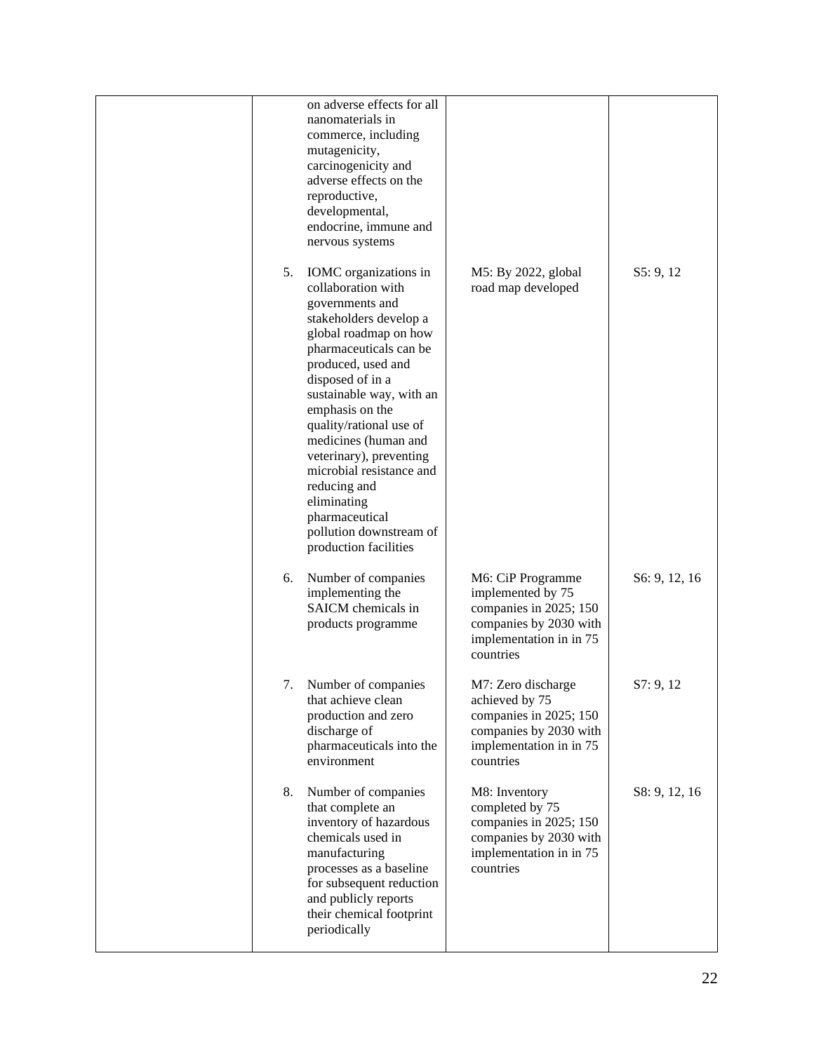|    | on adverse effects for all<br>nanomaterials in<br>commerce, including<br>mutagenicity,<br>carcinogenicity and<br>adverse effects on the<br>reproductive,<br>developmental,<br>endocrine, immune and<br>nervous systems                                                                                                                                                                                                                              |                                                                                                                                    |               |
|----|-----------------------------------------------------------------------------------------------------------------------------------------------------------------------------------------------------------------------------------------------------------------------------------------------------------------------------------------------------------------------------------------------------------------------------------------------------|------------------------------------------------------------------------------------------------------------------------------------|---------------|
| 5. | IOMC organizations in<br>collaboration with<br>governments and<br>stakeholders develop a<br>global roadmap on how<br>pharmaceuticals can be<br>produced, used and<br>disposed of in a<br>sustainable way, with an<br>emphasis on the<br>quality/rational use of<br>medicines (human and<br>veterinary), preventing<br>microbial resistance and<br>reducing and<br>eliminating<br>pharmaceutical<br>pollution downstream of<br>production facilities | M5: By 2022, global<br>road map developed                                                                                          | S5: 9, 12     |
| 6. | Number of companies<br>implementing the<br>SAICM chemicals in<br>products programme                                                                                                                                                                                                                                                                                                                                                                 | M6: CiP Programme<br>implemented by 75<br>companies in 2025; 150<br>companies by 2030 with<br>implementation in in 75<br>countries | S6: 9, 12, 16 |
|    | 7. Number of companies<br>that achieve clean<br>production and zero<br>discharge of<br>pharmaceuticals into the<br>environment                                                                                                                                                                                                                                                                                                                      | M7: Zero discharge<br>achieved by 75<br>companies in 2025; 150<br>companies by 2030 with<br>implementation in in 75<br>countries   | S7:9,12       |
| 8. | Number of companies<br>that complete an<br>inventory of hazardous<br>chemicals used in<br>manufacturing<br>processes as a baseline<br>for subsequent reduction<br>and publicly reports<br>their chemical footprint<br>periodically                                                                                                                                                                                                                  | M8: Inventory<br>completed by 75<br>companies in 2025; 150<br>companies by 2030 with<br>implementation in in 75<br>countries       | S8: 9, 12, 16 |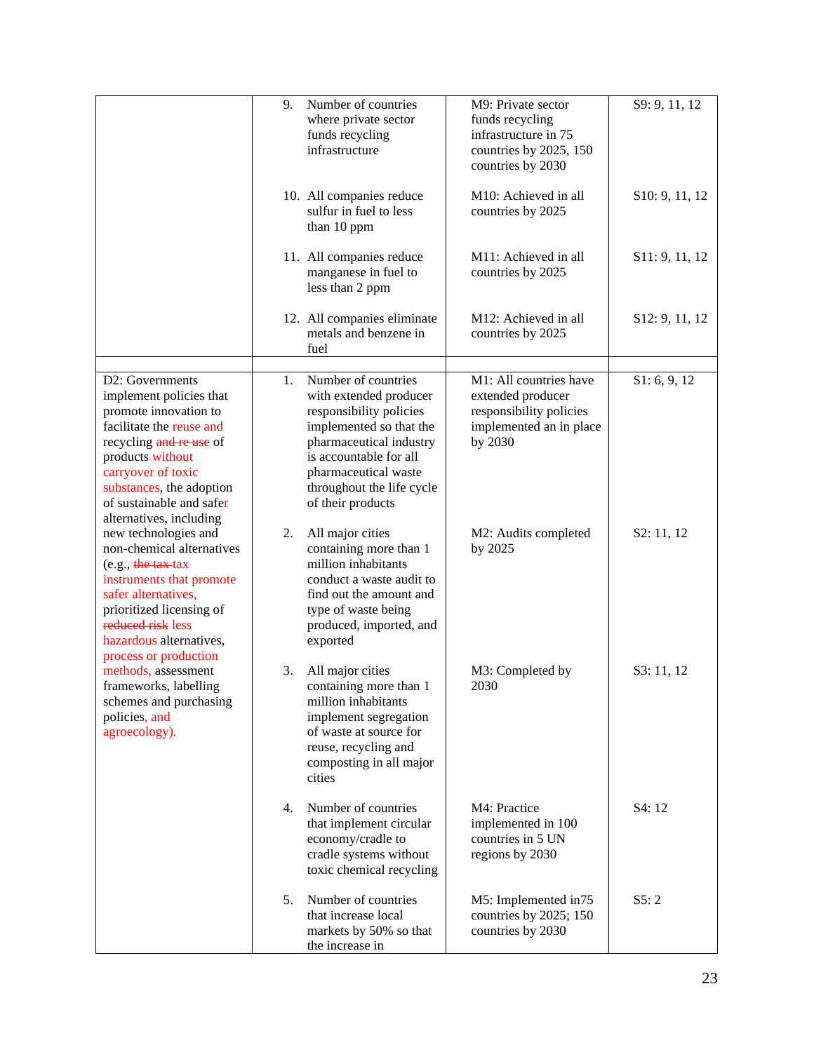|                                                                                                                                                                                                                                                         | 9. | Number of countries<br>where private sector<br>funds recycling<br>infrastructure                                                                                                                                                   | M9: Private sector<br>funds recycling<br>infrastructure in 75<br>countries by 2025, 150<br>countries by 2030 | S9: 9, 11, 12               |
|---------------------------------------------------------------------------------------------------------------------------------------------------------------------------------------------------------------------------------------------------------|----|------------------------------------------------------------------------------------------------------------------------------------------------------------------------------------------------------------------------------------|--------------------------------------------------------------------------------------------------------------|-----------------------------|
|                                                                                                                                                                                                                                                         |    | 10. All companies reduce<br>sulfur in fuel to less<br>than 10 ppm                                                                                                                                                                  | M10: Achieved in all<br>countries by 2025                                                                    | S <sub>10</sub> : 9, 11, 12 |
|                                                                                                                                                                                                                                                         |    | 11. All companies reduce<br>manganese in fuel to<br>less than 2 ppm                                                                                                                                                                | M11: Achieved in all<br>countries by 2025                                                                    | S11: 9, 11, 12              |
|                                                                                                                                                                                                                                                         |    | 12. All companies eliminate<br>metals and benzene in<br>fuel                                                                                                                                                                       | M12: Achieved in all<br>countries by 2025                                                                    | S12: 9, 11, 12              |
| D2: Governments<br>implement policies that<br>promote innovation to<br>facilitate the reuse and<br>recycling and re use of<br>products without<br>carryover of toxic<br>substances, the adoption<br>of sustainable and safer<br>alternatives, including | 1. | Number of countries<br>with extended producer<br>responsibility policies<br>implemented so that the<br>pharmaceutical industry<br>is accountable for all<br>pharmaceutical waste<br>throughout the life cycle<br>of their products | M1: All countries have<br>extended producer<br>responsibility policies<br>implemented an in place<br>by 2030 | S1: 6, 9, 12                |
| new technologies and<br>non-chemical alternatives<br>$(e.g., the tax-tax)$<br>instruments that promote<br>safer alternatives,<br>prioritized licensing of<br>reduced risk less<br>hazardous alternatives,<br>process or production                      | 2. | All major cities<br>containing more than 1<br>million inhabitants<br>conduct a waste audit to<br>find out the amount and<br>type of waste being<br>produced, imported, and<br>exported                                             | M2: Audits completed<br>by 2025                                                                              | S2: 11, 12                  |
| methods, assessment<br>frameworks, labelling<br>schemes and purchasing<br>policies, and<br>agroecology).                                                                                                                                                | 3. | All major cities<br>containing more than 1<br>million inhabitants<br>implement segregation<br>of waste at source for<br>reuse, recycling and<br>composting in all major<br>cities                                                  | M3: Completed by<br>2030                                                                                     | S3: 11, 12                  |
|                                                                                                                                                                                                                                                         | 4. | Number of countries<br>that implement circular<br>economy/cradle to<br>cradle systems without<br>toxic chemical recycling                                                                                                          | M4: Practice<br>implemented in 100<br>countries in 5 UN<br>regions by 2030                                   | S4: 12                      |
|                                                                                                                                                                                                                                                         | 5. | Number of countries<br>that increase local<br>markets by 50% so that<br>the increase in                                                                                                                                            | M5: Implemented in 75<br>countries by 2025; 150<br>countries by 2030                                         | S5:2                        |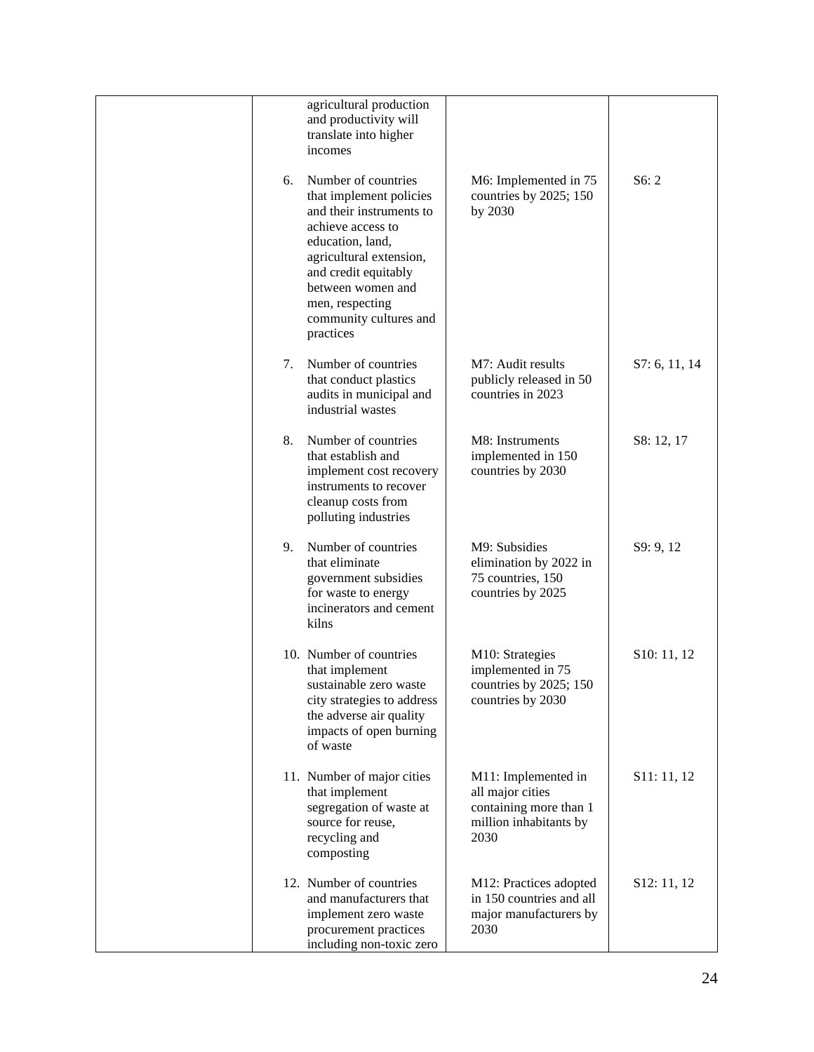|    | agricultural production<br>and productivity will<br>translate into higher<br>incomes                                                                                                                                                                  |                                                                                                     |               |
|----|-------------------------------------------------------------------------------------------------------------------------------------------------------------------------------------------------------------------------------------------------------|-----------------------------------------------------------------------------------------------------|---------------|
| 6. | Number of countries<br>that implement policies<br>and their instruments to<br>achieve access to<br>education, land,<br>agricultural extension,<br>and credit equitably<br>between women and<br>men, respecting<br>community cultures and<br>practices | M6: Implemented in 75<br>countries by 2025; 150<br>by 2030                                          | S6:2          |
| 7. | Number of countries<br>that conduct plastics<br>audits in municipal and<br>industrial wastes                                                                                                                                                          | M7: Audit results<br>publicly released in 50<br>countries in 2023                                   | S7: 6, 11, 14 |
| 8. | Number of countries<br>that establish and<br>implement cost recovery<br>instruments to recover<br>cleanup costs from<br>polluting industries                                                                                                          | M8: Instruments<br>implemented in 150<br>countries by 2030                                          | S8: 12, 17    |
| 9. | Number of countries<br>that eliminate<br>government subsidies<br>for waste to energy<br>incinerators and cement<br>kilns                                                                                                                              | M9: Subsidies<br>elimination by 2022 in<br>75 countries, 150<br>countries by 2025                   | S9: 9, 12     |
|    | 10. Number of countries<br>that implement<br>sustainable zero waste<br>city strategies to address<br>the adverse air quality<br>impacts of open burning<br>of waste                                                                                   | M10: Strategies<br>implemented in 75<br>countries by 2025; 150<br>countries by 2030                 | S10: 11, 12   |
|    | 11. Number of major cities<br>that implement<br>segregation of waste at<br>source for reuse,<br>recycling and<br>composting                                                                                                                           | M11: Implemented in<br>all major cities<br>containing more than 1<br>million inhabitants by<br>2030 | S11: 11, 12   |
|    | 12. Number of countries<br>and manufacturers that<br>implement zero waste<br>procurement practices<br>including non-toxic zero                                                                                                                        | M12: Practices adopted<br>in 150 countries and all<br>major manufacturers by<br>2030                | S12: 11, 12   |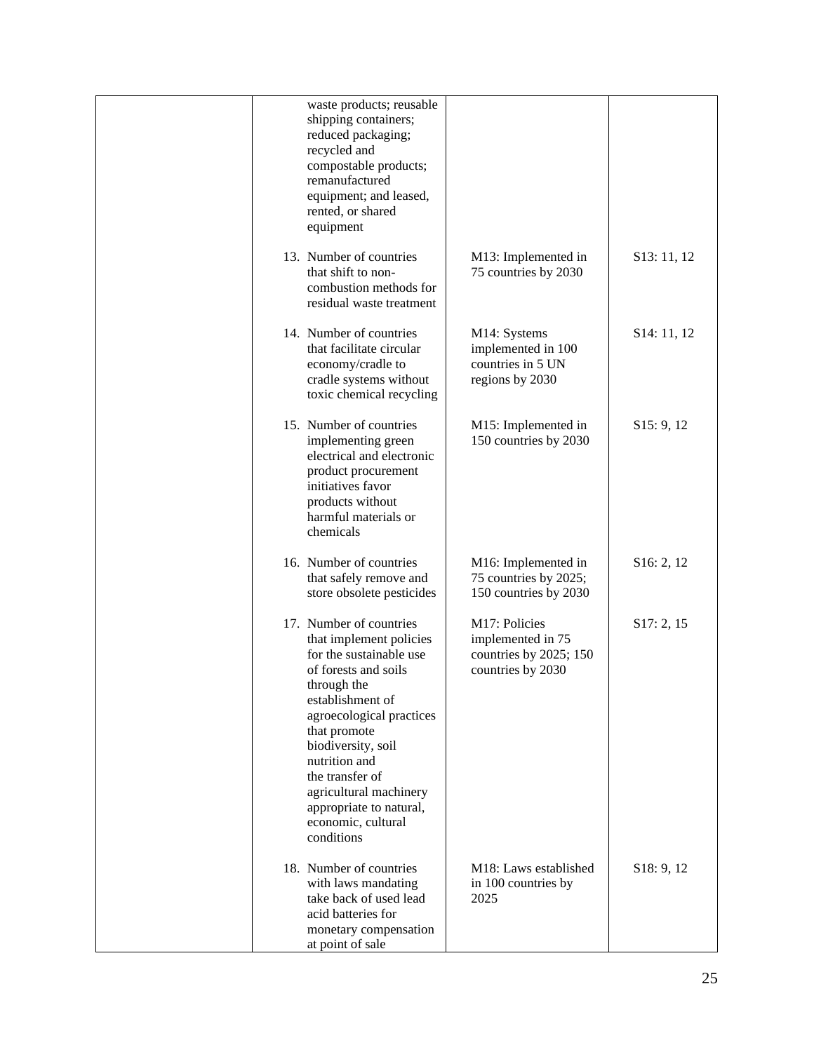| waste products; reusable                                                                                                                                                                                                                                                                                                                |                                                                                   |                          |
|-----------------------------------------------------------------------------------------------------------------------------------------------------------------------------------------------------------------------------------------------------------------------------------------------------------------------------------------|-----------------------------------------------------------------------------------|--------------------------|
| shipping containers;<br>reduced packaging;<br>recycled and<br>compostable products;<br>remanufactured<br>equipment; and leased,<br>rented, or shared<br>equipment                                                                                                                                                                       |                                                                                   |                          |
| 13. Number of countries<br>that shift to non-<br>combustion methods for<br>residual waste treatment                                                                                                                                                                                                                                     | M13: Implemented in<br>75 countries by 2030                                       | S <sub>13</sub> : 11, 12 |
| 14. Number of countries<br>that facilitate circular<br>economy/cradle to<br>cradle systems without<br>toxic chemical recycling                                                                                                                                                                                                          | M14: Systems<br>implemented in 100<br>countries in 5 UN<br>regions by 2030        | S <sub>14</sub> : 11, 12 |
| 15. Number of countries<br>implementing green<br>electrical and electronic<br>product procurement<br>initiatives favor<br>products without<br>harmful materials or<br>chemicals                                                                                                                                                         | M15: Implemented in<br>150 countries by 2030                                      | S15: 9, 12               |
| 16. Number of countries<br>that safely remove and<br>store obsolete pesticides                                                                                                                                                                                                                                                          | M16: Implemented in<br>75 countries by 2025;<br>150 countries by 2030             | S16: 2, 12               |
| 17. Number of countries<br>that implement policies<br>for the sustainable use<br>of forests and soils<br>through the<br>establishment of<br>agroecological practices<br>that promote<br>biodiversity, soil<br>nutrition and<br>the transfer of<br>agricultural machinery<br>appropriate to natural,<br>economic, cultural<br>conditions | M17: Policies<br>implemented in 75<br>countries by 2025; 150<br>countries by 2030 | S17: 2, 15               |
| 18. Number of countries<br>with laws mandating<br>take back of used lead<br>acid batteries for<br>monetary compensation<br>at point of sale                                                                                                                                                                                             | M18: Laws established<br>in 100 countries by<br>2025                              | S <sub>18</sub> : 9, 12  |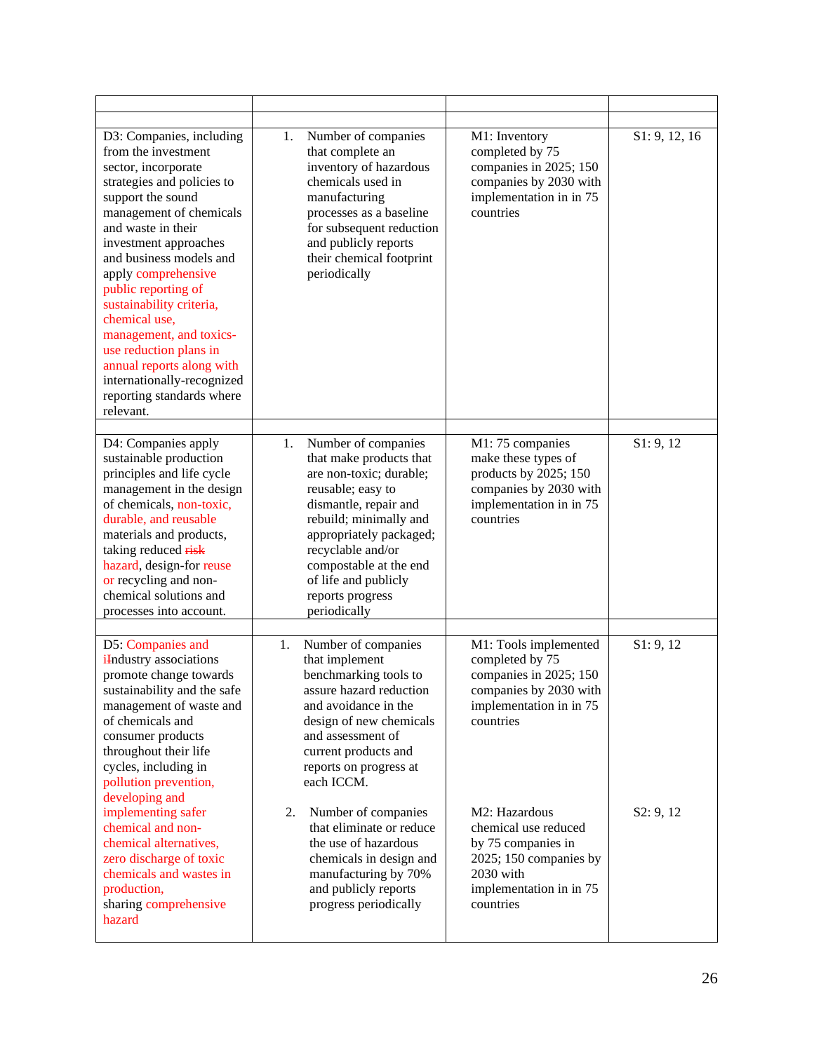| D3: Companies, including<br>from the investment<br>sector, incorporate<br>strategies and policies to<br>support the sound<br>management of chemicals<br>and waste in their<br>investment approaches<br>and business models and<br>apply comprehensive<br>public reporting of<br>sustainability criteria,<br>chemical use,<br>management, and toxics-<br>use reduction plans in<br>annual reports along with<br>internationally-recognized<br>reporting standards where<br>relevant. | 1.<br>Number of companies<br>that complete an<br>inventory of hazardous<br>chemicals used in<br>manufacturing<br>processes as a baseline<br>for subsequent reduction<br>and publicly reports<br>their chemical footprint<br>periodically                         | M1: Inventory<br>completed by 75<br>companies in 2025; 150<br>companies by 2030 with<br>implementation in in 75<br>countries               | S1: 9, 12, 16 |
|-------------------------------------------------------------------------------------------------------------------------------------------------------------------------------------------------------------------------------------------------------------------------------------------------------------------------------------------------------------------------------------------------------------------------------------------------------------------------------------|------------------------------------------------------------------------------------------------------------------------------------------------------------------------------------------------------------------------------------------------------------------|--------------------------------------------------------------------------------------------------------------------------------------------|---------------|
| D4: Companies apply                                                                                                                                                                                                                                                                                                                                                                                                                                                                 | Number of companies<br>1.                                                                                                                                                                                                                                        | M1: 75 companies                                                                                                                           | S1:9,12       |
| sustainable production<br>principles and life cycle<br>management in the design<br>of chemicals, non-toxic,<br>durable, and reusable<br>materials and products,<br>taking reduced risk<br>hazard, design-for reuse<br>or recycling and non-<br>chemical solutions and<br>processes into account.                                                                                                                                                                                    | that make products that<br>are non-toxic; durable;<br>reusable; easy to<br>dismantle, repair and<br>rebuild; minimally and<br>appropriately packaged;<br>recyclable and/or<br>compostable at the end<br>of life and publicly<br>reports progress<br>periodically | make these types of<br>products by 2025; 150<br>companies by 2030 with<br>implementation in in 75<br>countries                             |               |
| D5: Companies and                                                                                                                                                                                                                                                                                                                                                                                                                                                                   | Number of companies<br>1.                                                                                                                                                                                                                                        | M1: Tools implemented                                                                                                                      | S1: 9, 12     |
| <i>i</i> Industry associations<br>promote change towards<br>sustainability and the safe<br>management of waste and<br>of chemicals and<br>consumer products<br>throughout their life<br>cycles, including in<br>pollution prevention,<br>developing and                                                                                                                                                                                                                             | that implement<br>benchmarking tools to<br>assure hazard reduction<br>and avoidance in the<br>design of new chemicals<br>and assessment of<br>current products and<br>reports on progress at<br>each ICCM.                                                       | completed by 75<br>companies in 2025; 150<br>companies by 2030 with<br>implementation in in 75<br>countries                                |               |
| implementing safer<br>chemical and non-<br>chemical alternatives,<br>zero discharge of toxic<br>chemicals and wastes in<br>production,<br>sharing comprehensive<br>hazard                                                                                                                                                                                                                                                                                                           | 2.<br>Number of companies<br>that eliminate or reduce<br>the use of hazardous<br>chemicals in design and<br>manufacturing by 70%<br>and publicly reports<br>progress periodically                                                                                | M2: Hazardous<br>chemical use reduced<br>by 75 companies in<br>2025; 150 companies by<br>2030 with<br>implementation in in 75<br>countries | S2: 9, 12     |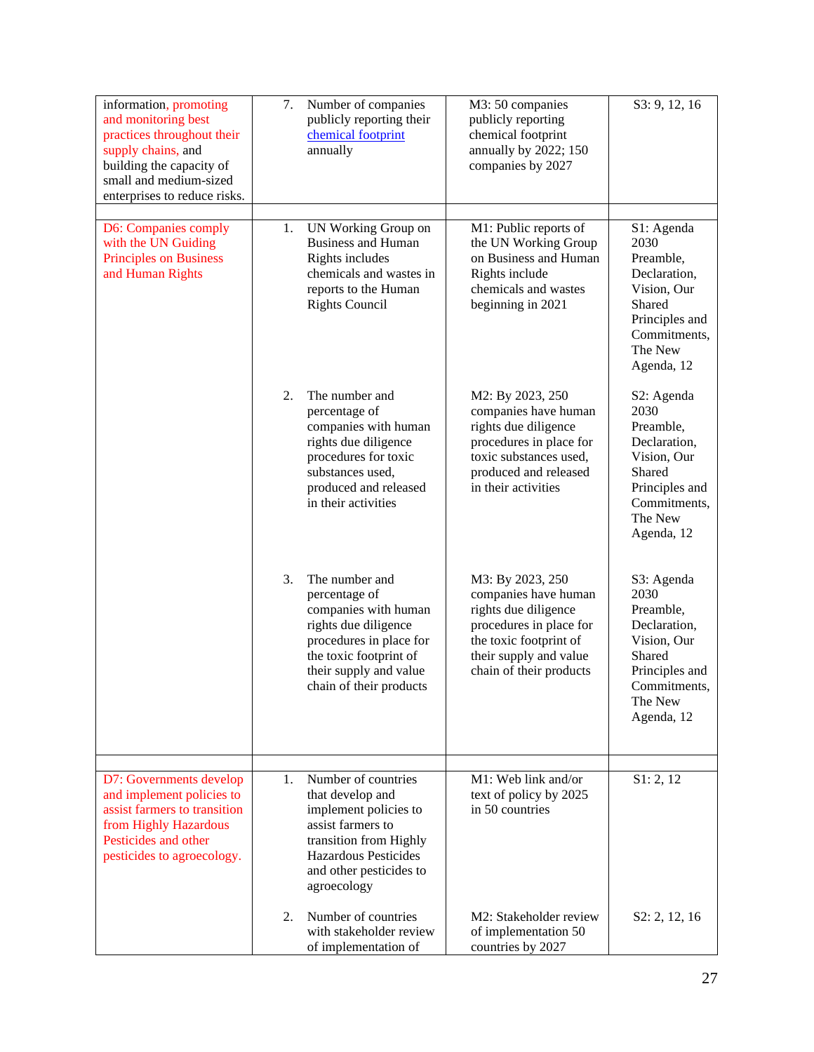| information, promoting<br>and monitoring best<br>practices throughout their<br>supply chains, and<br>building the capacity of<br>small and medium-sized<br>enterprises to reduce risks. | 7. | Number of companies<br>publicly reporting their<br>chemical footprint<br>annually                                                                                                         | M3: 50 companies<br>publicly reporting<br>chemical footprint<br>annually by 2022; 150<br>companies by 2027                                                                 | S3: 9, 12, 16                                                                                                                       |
|-----------------------------------------------------------------------------------------------------------------------------------------------------------------------------------------|----|-------------------------------------------------------------------------------------------------------------------------------------------------------------------------------------------|----------------------------------------------------------------------------------------------------------------------------------------------------------------------------|-------------------------------------------------------------------------------------------------------------------------------------|
| D6: Companies comply<br>with the UN Guiding<br><b>Principles on Business</b><br>and Human Rights                                                                                        | 1. | UN Working Group on<br><b>Business and Human</b><br>Rights includes<br>chemicals and wastes in<br>reports to the Human<br><b>Rights Council</b>                                           | M1: Public reports of<br>the UN Working Group<br>on Business and Human<br>Rights include<br>chemicals and wastes<br>beginning in 2021                                      | S1: Agenda<br>2030<br>Preamble,<br>Declaration,<br>Vision, Our<br>Shared<br>Principles and<br>Commitments,<br>The New<br>Agenda, 12 |
|                                                                                                                                                                                         | 2. | The number and<br>percentage of<br>companies with human<br>rights due diligence<br>procedures for toxic<br>substances used,<br>produced and released<br>in their activities               | M2: By 2023, 250<br>companies have human<br>rights due diligence<br>procedures in place for<br>toxic substances used,<br>produced and released<br>in their activities      | S2: Agenda<br>2030<br>Preamble,<br>Declaration,<br>Vision, Our<br>Shared<br>Principles and<br>Commitments,<br>The New<br>Agenda, 12 |
|                                                                                                                                                                                         | 3. | The number and<br>percentage of<br>companies with human<br>rights due diligence<br>procedures in place for<br>the toxic footprint of<br>their supply and value<br>chain of their products | M3: By 2023, 250<br>companies have human<br>rights due diligence<br>procedures in place for<br>the toxic footprint of<br>their supply and value<br>chain of their products | S3: Agenda<br>2030<br>Preamble,<br>Declaration,<br>Vision, Our<br>Shared<br>Principles and<br>Commitments.<br>The New<br>Agenda, 12 |
| D7: Governments develop<br>and implement policies to<br>assist farmers to transition<br>from Highly Hazardous<br>Pesticides and other<br>pesticides to agroecology.                     | 1. | Number of countries<br>that develop and<br>implement policies to<br>assist farmers to<br>transition from Highly<br>Hazardous Pesticides<br>and other pesticides to<br>agroecology         | M1: Web link and/or<br>text of policy by 2025<br>in 50 countries                                                                                                           | S1: 2, 12                                                                                                                           |
|                                                                                                                                                                                         | 2. | Number of countries<br>with stakeholder review<br>of implementation of                                                                                                                    | M2: Stakeholder review<br>of implementation 50<br>countries by 2027                                                                                                        | S2: 2, 12, 16                                                                                                                       |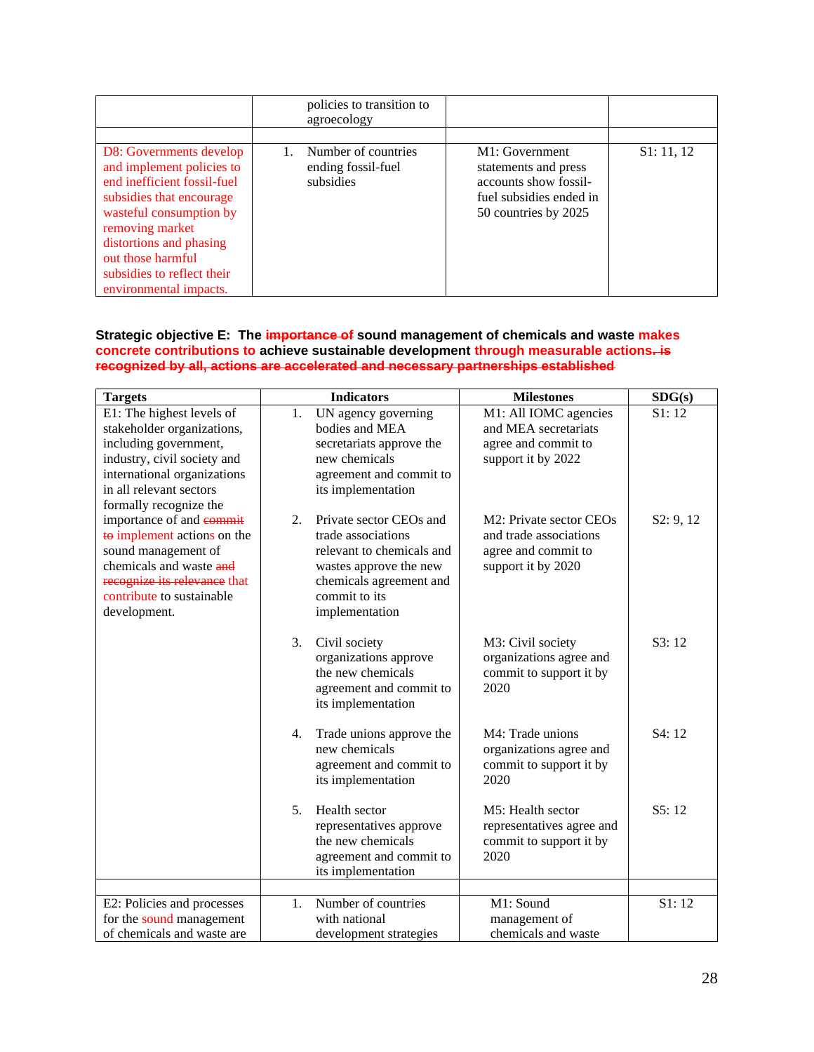|                                                                                                                                                                                                                                                                       | policies to transition to<br>agroecology               |                                                                                                                    |            |
|-----------------------------------------------------------------------------------------------------------------------------------------------------------------------------------------------------------------------------------------------------------------------|--------------------------------------------------------|--------------------------------------------------------------------------------------------------------------------|------------|
|                                                                                                                                                                                                                                                                       |                                                        |                                                                                                                    |            |
| D8: Governments develop<br>and implement policies to<br>end inefficient fossil-fuel<br>subsidies that encourage<br>wasteful consumption by<br>removing market<br>distortions and phasing<br>out those harmful<br>subsidies to reflect their<br>environmental impacts. | Number of countries<br>ending fossil-fuel<br>subsidies | M1: Government<br>statements and press<br>accounts show fossil-<br>fuel subsidies ended in<br>50 countries by 2025 | S1: 11, 12 |

### **Strategic objective E: The importance of sound management of chemicals and waste makes concrete contributions to achieve sustainable development through measurable actions. is recognized by all, actions are accelerated and necessary partnerships established**

| <b>Targets</b>                                                                                                                                                                                      |                  | <b>Indicators</b>                                                                                                                                                  | <b>Milestones</b>                                                                                                       | SDG(s)    |
|-----------------------------------------------------------------------------------------------------------------------------------------------------------------------------------------------------|------------------|--------------------------------------------------------------------------------------------------------------------------------------------------------------------|-------------------------------------------------------------------------------------------------------------------------|-----------|
| E1: The highest levels of<br>stakeholder organizations,<br>including government,<br>industry, civil society and<br>international organizations<br>in all relevant sectors<br>formally recognize the | 1.               | UN agency governing<br>bodies and MEA<br>secretariats approve the<br>new chemicals<br>agreement and commit to<br>its implementation                                | M1: All IOMC agencies<br>and MEA secretariats<br>agree and commit to<br>support it by 2022                              | S1:12     |
| importance of and <b>commit</b><br>to implement actions on the<br>sound management of<br>chemicals and waste and<br>recognize its relevance that<br>contribute to sustainable<br>development.       | $\overline{2}$ . | Private sector CEOs and<br>trade associations<br>relevant to chemicals and<br>wastes approve the new<br>chemicals agreement and<br>commit to its<br>implementation | M <sub>2</sub> : Private sector CEO <sub>s</sub><br>and trade associations<br>agree and commit to<br>support it by 2020 | S2: 9, 12 |
|                                                                                                                                                                                                     | 3.               | Civil society<br>organizations approve<br>the new chemicals<br>agreement and commit to<br>its implementation                                                       | M3: Civil society<br>organizations agree and<br>commit to support it by<br>2020                                         | S3:12     |
|                                                                                                                                                                                                     | 4.               | Trade unions approve the<br>new chemicals<br>agreement and commit to<br>its implementation                                                                         | M4: Trade unions<br>organizations agree and<br>commit to support it by<br>2020                                          | S4:12     |
|                                                                                                                                                                                                     | 5.               | Health sector<br>representatives approve<br>the new chemicals<br>agreement and commit to<br>its implementation                                                     | M5: Health sector<br>representatives agree and<br>commit to support it by<br>2020                                       | S5:12     |
| E2: Policies and processes<br>for the sound management<br>of chemicals and waste are                                                                                                                | 1.               | Number of countries<br>with national<br>development strategies                                                                                                     | M1: Sound<br>management of<br>chemicals and waste                                                                       | S1:12     |